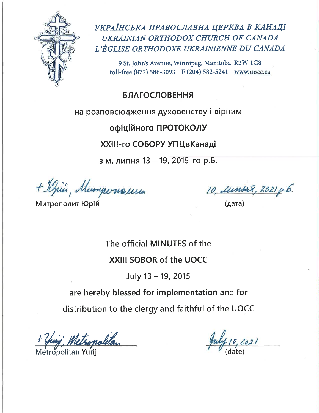

УКРАЇНСЬКА ПРАВОСЛАВНА ЦЕРКВА В КАНАДІ UKRAINIAN ORTHODOX CHURCH OF CANADA L'ÉGLISE ORTHODOXE UKRAINIENNE DU CANADA

9 St. John's Avenue, Winnipeg, Manitoba R2W 1G8 toll-free (877) 586-3093 F (204) 582-5241 www.uocc.ca

**БЛАГОСЛОВЕННЯ** 

на розповсюдження духовенству і вірним

офіційного ПРОТОКОЛУ

# XXIII-го СОБОРУ УПЦвКанаді

з м. липня 13 - 19, 2015-го р.Б.

+ Knie, Mumponous

Митрополит Юрій

10, Литкад, 2021 р.б.<br>(дата)

The official MINUTES of the

# XXIII SOBOR of the UOCC

July 13 - 19, 2015

are hereby blessed for implementation and for

distribution to the clergy and faithful of the UOCC

Sopolitan *,*<br>Spolitan Yurii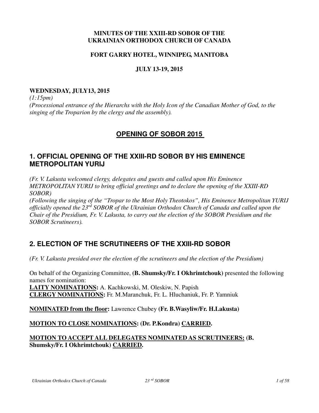#### **MINUTES OF THE XXIII-RD SOBOR OF THE UKRAINIAN ORTHODOX CHURCH OF CANADA**

#### **FORT GARRY HOTEL, WINNIPEG, MANITOBA**

#### **JULY 13-19, 2015**

#### **WEDNESDAY, JULY13, 2015**

*(1:15pm) (Processional entrance of the Hierarchs with the Holy Icon of the Canadian Mother of God, to the singing of the Troparion by the clergy and the assembly).* 

### **OPENING OF SOBOR 2015**

### **1. OFFICIAL OPENING OF THE XXIII-RD SOBOR BY HIS EMINENCE METROPOLITAN YURIJ**

*(Fr. V. Lakusta welcomed clergy, delegates and guests and called upon His Eminence METROPOLITAN YURIJ to bring official greetings and to declare the opening of the XXIII-RD SOBOR)* 

*(Following the singing of the "Tropar to the Most Holy Theotokos", His Eminence Metropolitan YURIJ officially opened the 23rd SOBOR of the Ukrainian Orthodox Church of Canada and called upon the Chair of the Presidium, Fr. V. Lakusta, to carry out the election of the SOBOR Presidium and the SOBOR Scrutineers).* 

### **2. ELECTION OF THE SCRUTINEERS OF THE XXIII-RD SOBOR**

*(Fr. V. Lakusta presided over the election of the scrutineers and the election of the Presidium)* 

On behalf of the Organizing Committee, **(B. Shumsky/Fr. I Okhrimtchouk)** presented the following names for nomination: **LAITY NOMINATIONS:** A. Kachkowski, M. Oleskiw, N. Papish

**CLERGY NOMINATIONS:** Fr. M.Maranchuk, Fr. L. Hluchaniuk, Fr. P. Yamniuk

**NOMINATED from the floor:** Lawrence Chubey **(Fr. B.Wasyliw/Fr. H.Lakusta)** 

#### **MOTION TO CLOSE NOMINATIONS: (Dr. P.Kondra) CARRIED.**

### **MOTION TO ACCEPT ALL DELEGATES NOMINATED AS SCRUTINEERS: (B. Shumsky/Fr. I Okhrimtchouk) CARRIED.**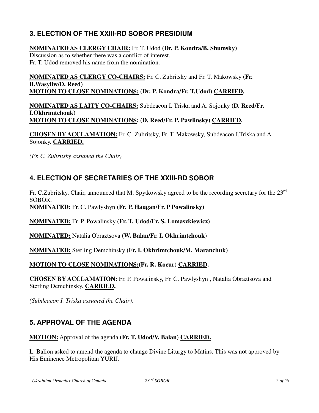# **3. ELECTION OF THE XXIII-RD SOBOR PRESIDIUM**

### **NOMINATED AS CLERGY CHAIR:** Fr. T. Udod **(Dr. P. Kondra/B. Shumsky)**  Discussion as to whether there was a conflict of interest. Fr. T. Udod removed his name from the nomination.

**NOMINATED AS CLERGY CO-CHAIRS:** Fr. C. Zubritsky and Fr. T. Makowsky **(Fr. B.Wasyliw/D. Reed) MOTION TO CLOSE NOMINATIONS: (Dr. P. Kondra/Fr. T.Udod) CARRIED.** 

**NOMINATED AS LAITY CO-CHAIRS:** Subdeacon I. Triska and A. Sojonky **(D. Reed/Fr. I.Okhrimtchouk) MOTION TO CLOSE NOMINATIONS: (D. Reed/Fr. P. Pawlinsky) CARRIED.** 

**CHOSEN BY ACCLAMATION:** Fr. C. Zubritsky, Fr. T. Makowsky, Subdeacon I.Triska and A. Sojonky. **CARRIED.**

*(Fr. C. Zubritsky assumed the Chair)* 

# **4. ELECTION OF SECRETARIES OF THE XXIII-RD SOBOR**

Fr. C.Zubritsky, Chair, announced that M. Spytkowsky agreed to be the recording secretary for the 23rd SOBOR.

**NOMINATED:** Fr. C. Pawlyshyn **(Fr. P. Haugan/Fr. P Powalinsky)** 

**NOMINATED:** Fr. P. Powalinsky **(Fr. T. Udod/Fr. S. Lomaszkiewicz)** 

**NOMINATED:** Natalia Obraztsova **(W. Balan/Fr. I. Okhrimtchouk)** 

**NOMINATED:** Sterling Demchinsky **(Fr. I. Okhrimtchouk/M. Maranchuk)** 

### **MOTION TO CLOSE NOMINATIONS:(Fr. R. Kocur) CARRIED.**

**CHOSEN BY ACCLAMATION:** Fr. P. Powalinsky, Fr. C. Pawlyshyn , Natalia Obraztsova and Sterling Demchinsky. **CARRIED.**

*(Subdeacon I. Triska assumed the Chair).*

# **5. APPROVAL OF THE AGENDA**

**MOTION:** Approval of the agenda **(Fr. T. Udod/V. Balan) CARRIED.**

L. Balion asked to amend the agenda to change Divine Liturgy to Matins. This was not approved by His Eminence Metropolitan YURIJ.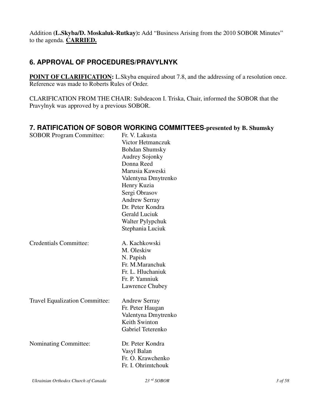Addition **(L.Skyba/D. Moskaluk-Rutkay):** Add "Business Arising from the 2010 SOBOR Minutes" to the agenda. **CARRIED.**

# **6. APPROVAL OF PROCEDURES/PRAVYLNYK**

**POINT OF CLARIFICATION:** L.Skyba enquired about 7.8, and the addressing of a resolution once. Reference was made to Roberts Rules of Order.

CLARIFICATION FROM THE CHAIR: Subdeacon I. Triska, Chair, informed the SOBOR that the Pravylnyk was approved by a previous SOBOR.

### **7. RATIFICATION OF SOBOR WORKING COMMITTEES-presented by B. Shumsky**

| <b>SOBOR Program Committee:</b>       | Fr. V. Lakusta        |
|---------------------------------------|-----------------------|
|                                       | Victor Hetmanczuk     |
|                                       | <b>Bohdan Shumsky</b> |
|                                       | <b>Audrey Sojonky</b> |
|                                       | Donna Reed            |
|                                       | Marusia Kaweski       |
|                                       | Valentyna Dmytrenko   |
|                                       | Henry Kuzia           |
|                                       | Sergi Obrasov         |
|                                       | <b>Andrew Serray</b>  |
|                                       | Dr. Peter Kondra      |
|                                       | <b>Gerald Luciuk</b>  |
|                                       | Walter Pylypchuk      |
|                                       | Stephania Luciuk      |
| <b>Credentials Committee:</b>         | A. Kachkowski         |
|                                       | M. Oleskiw            |
|                                       | N. Papish             |
|                                       | Fr. M.Maranchuk       |
|                                       | Fr. L. Hluchaniuk     |
|                                       | Fr. P. Yamniuk        |
|                                       | Lawrence Chubey       |
| <b>Travel Equalization Committee:</b> | <b>Andrew Serray</b>  |
|                                       | Fr. Peter Haugan      |
|                                       | Valentyna Dmytrenko   |
|                                       | Keith Swinton         |
|                                       | Gabriel Teterenko     |
| Nominating Committee:                 | Dr. Peter Kondra      |
|                                       | Vasyl Balan           |
|                                       | Fr. O. Krawchenko     |
|                                       | Fr. I. Ohrimtchouk    |
|                                       |                       |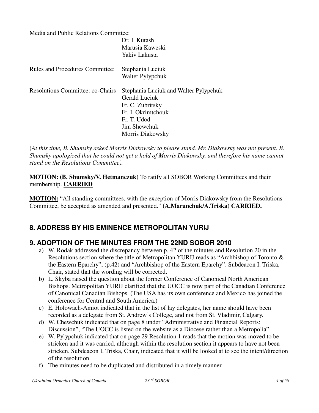Media and Public Relations Committee:

|                                         | Dr. I. Kutash<br>Marusia Kaweski<br>Yakiv Lakusta                                                                                                   |
|-----------------------------------------|-----------------------------------------------------------------------------------------------------------------------------------------------------|
| <b>Rules and Procedures Committee:</b>  | Stephania Luciuk<br>Walter Pylypchuk                                                                                                                |
| <b>Resolutions Committee: co-Chairs</b> | Stephania Luciuk and Walter Pylypchuk<br>Gerald Luciuk<br>Fr. C. Zubritsky<br>Fr. I. Okrimtchouk<br>Fr. T. Udod<br>Jim Shewchuk<br>Morris Diakowsky |

(*At this time, B. Shumsky asked Morris Diakowsky to please stand. Mr. Diakowsky was not present. B. Shumsky apologized that he could not get a hold of Morris Diakowsky, and therefore his name cannot stand on the Resolutions Committee).* 

**MOTION: (B. Shumsky/V. Hetmanczuk)** To ratify all SOBOR Working Committees and their membership. **CARRIED** 

**MOTION:** "All standing committees, with the exception of Morris Diakowsky from the Resolutions Committee, be accepted as amended and presented." **(A.Maranchuk/A.Triska) CARRIED.**

# **8. ADDRESS BY HIS EMINENCE METROPOLITAN YURIJ**

# **9. ADOPTION OF THE MINUTES FROM THE 22ND SOBOR 2010**

- a) W. Rodak addressed the discrepancy between p. 42 of the minutes and Resolution 20 in the Resolutions section where the title of Metropolitan YURIJ reads as "Archbishop of Toronto & the Eastern Eparchy", (p.42) and "Archbishop of the Eastern Eparchy". Subdeacon I. Triska, Chair, stated that the wording will be corrected.
- b) L. Skyba raised the question about the former Conference of Canonical North American Bishops. Metropolitan YURIJ clarified that the UOCC is now part of the Canadian Conference of Canonical Canadian Bishops. (The USA has its own conference and Mexico has joined the conference for Central and South America.)
- c) E. Holowach-Amiot indicated that in the list of lay delegates, her name should have been recorded as a delegate from St. Andrew's College, and not from St. Vladimir, Calgary.
- d) W. Chewchuk indicated that on page 8 under "Administrative and Financial Reports: Discussion", "The UOCC is listed on the website as a Diocese rather than a Metropolia".
- e) W. Pylypchuk indicated that on page 29 Resolution 1 reads that the motion was moved to be stricken and it was carried, although within the resolution section it appears to have not been stricken. Subdeacon I. Triska, Chair, indicated that it will be looked at to see the intent/direction of the resolution.
- f) The minutes need to be duplicated and distributed in a timely manner.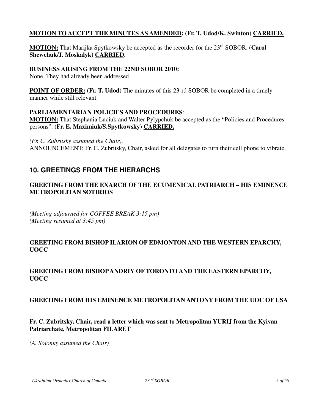### **MOTION TO ACCEPT THE MINUTES AS AMENDED: (Fr. T. Udod/K. Swinton) CARRIED.**

**MOTION:** That Marijka Spytkowsky be accepted as the recorder for the 23<sup>rd</sup> SOBOR. **(Carol Shewchuk/J. Moskalyk) CARRIED.** 

#### **BUSINESS ARISING FROM THE 22ND SOBOR 2010:**

None. They had already been addressed.

**POINT OF ORDER:** (Fr. T. Udod) The minutes of this 23-rd SOBOR be completed in a timely manner while still relevant.

#### **PARLIAMENTARIAN POLICIES AND PROCEDURES**:

**MOTION:** That Stephania Luciuk and Walter Pylypchuk be accepted as the "Policies and Procedures persons". **(Fr. E. Maximiuk/S.Spytkowsky) CARRIED.**

*(Fr. C. Zubritsky assumed the Chair).*  ANNOUNCEMENT: Fr. C. Zubritsky, Chair, asked for all delegates to turn their cell phone to vibrate.

# **10. GREETINGS FROM THE HIERARCHS**

### **GREETING FROM THE EXARCH OF THE ECUMENICAL PATRIARCH – HIS EMINENCE METROPOLITAN SOTIRIOS**

*(Meeting adjourned for COFFEE BREAK 3:15 pm) (Meeting resumed at 3:45 pm)* 

### **GREETING FROM BISHOP ILARION OF EDMONTON AND THE WESTERN EPARCHY, UOCC**

### **GREETING FROM BISHOP ANDRIY OF TORONTO AND THE EASTERN EPARCHY, UOCC**

#### **GREETING FROM HIS EMINENCE METROPOLITAN ANTONY FROM THE UOC OF USA**

### **Fr. C. Zubritsky, Chair, read a letter which was sent to Metropolitan YURIJ from the Kyivan Patriarchate, Metropolitan FILARET**

*(A. Sojonky assumed the Chair)*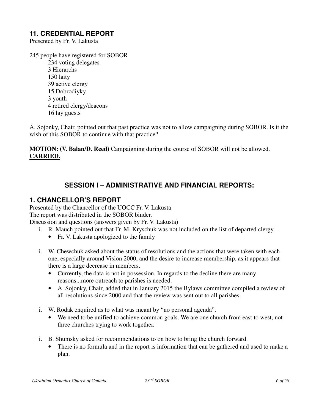### **11. CREDENTIAL REPORT**

Presented by Fr. V. Lakusta

245 people have registered for SOBOR

 234 voting delegates 3 Hierarchs 150 laity 39 active clergy 15 Dobrodiyky 3 youth 4 retired clergy/deacons 16 lay guests

A. Sojonky, Chair, pointed out that past practice was not to allow campaigning during SOBOR. Is it the wish of this SOBOR to continue with that practice?

**MOTION: (V. Balan/D. Reed)** Campaigning during the course of SOBOR will not be allowed. **CARRIED.**

### **SESSION I – ADMINISTRATIVE AND FINANCIAL REPORTS:**

### **1. CHANCELLOR'S REPORT**

Presented by the Chancellor of the UOCC Fr. V. Lakusta The report was distributed in the SOBOR binder. Discussion and questions (answers given by Fr. V. Lakusta)

- i. R. Mauch pointed out that Fr. M. Kryschuk was not included on the list of departed clergy.
	- Fr. V. Lakusta apologized to the family
- i. W. Chewchuk asked about the status of resolutions and the actions that were taken with each one, especially around Vision 2000, and the desire to increase membership, as it appears that there is a large decrease in members.
	- Currently, the data is not in possession. In regards to the decline there are many reasons...more outreach to parishes is needed.
	- A. Sojonky, Chair, added that in January 2015 the Bylaws committee compiled a review of all resolutions since 2000 and that the review was sent out to all parishes.
- i. W. Rodak enquired as to what was meant by "no personal agenda".
	- We need to be unified to achieve common goals. We are one church from east to west, not three churches trying to work together.
- i. B. Shumsky asked for recommendations to on how to bring the church forward.
	- There is no formula and in the report is information that can be gathered and used to make a plan.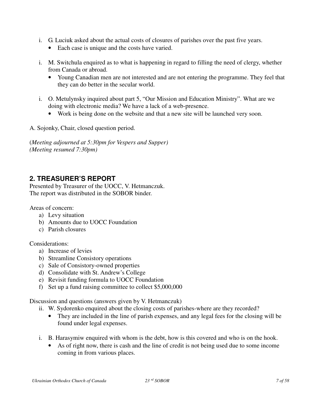- i. G. Luciuk asked about the actual costs of closures of parishes over the past five years.
	- Each case is unique and the costs have varied.
- i. M. Switchula enquired as to what is happening in regard to filling the need of clergy, whether from Canada or abroad.
	- Young Canadian men are not interested and are not entering the programme. They feel that they can do better in the secular world.
- i. O. Metulynsky inquired about part 5, "Our Mission and Education Ministry". What are we doing with electronic media? We have a lack of a web-presence.
	- Work is being done on the website and that a new site will be launched very soon.

A. Sojonky, Chair, closed question period.

(*Meeting adjourned at 5:30pm for Vespers and Supper) (Meeting resumed 7:30pm)* 

# **2. TREASURER'S REPORT**

Presented by Treasurer of the UOCC, V. Hetmanczuk. The report was distributed in the SOBOR binder.

Areas of concern:

- a) Levy situation
- b) Amounts due to UOCC Foundation
- c) Parish closures

Considerations:

- a) Increase of levies
- b) Streamline Consistory operations
- c) Sale of Consistory-owned properties
- d) Consolidate with St. Andrew's College
- e) Revisit funding formula to UOCC Foundation
- f) Set up a fund raising committee to collect \$5,000,000

Discussion and questions (answers given by V. Hetmanczuk)

- ii. W. Sydorenko enquired about the closing costs of parishes-where are they recorded?
	- They are included in the line of parish expenses, and any legal fees for the closing will be found under legal expenses.
- i. B. Harasymiw enquired with whom is the debt, how is this covered and who is on the hook.
	- As of right now, there is cash and the line of credit is not being used due to some income coming in from various places.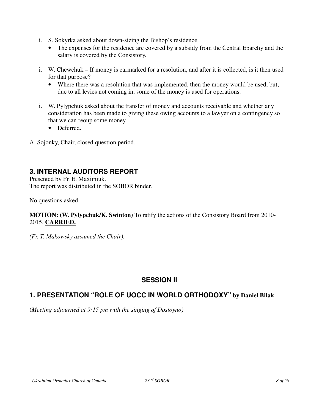- i. S. Sokyrka asked about down-sizing the Bishop's residence.
	- The expenses for the residence are covered by a subsidy from the Central Eparchy and the salary is covered by the Consistory.
- i. W. Chewchuk If money is earmarked for a resolution, and after it is collected, is it then used for that purpose?
	- Where there was a resolution that was implemented, then the money would be used, but, due to all levies not coming in, some of the money is used for operations.
- i. W. Pylypchuk asked about the transfer of money and accounts receivable and whether any consideration has been made to giving these owing accounts to a lawyer on a contingency so that we can reoup some money.
	- Deferred.
- A. Sojonky, Chair, closed question period.

### **3. INTERNAL AUDITORS REPORT**

Presented by Fr. E. Maximiuk. The report was distributed in the SOBOR binder.

No questions asked.

#### **MOTION: (W. Pylypchuk/K. Swinton)** To ratify the actions of the Consistory Board from 2010- 2015. **CARRIED.**

*(Fr. T. Makowsky assumed the Chair).* 

### **SESSION II**

### **1. PRESENTATION "ROLE OF UOCC IN WORLD ORTHODOXY" by Daniel Bilak**

(*Meeting adjourned at 9:15 pm with the singing of Dostoyno)*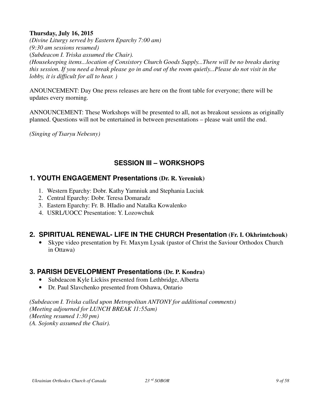### **Thursday, July 16, 2015**

*(Divine Liturgy served by Eastern Eparchy 7:00 am) (9:30 am sessions resumed)* (*Subdeacon I. Triska assumed the Chair). (Housekeeping items...location of Consistory Church Goods Supply...There will be no breaks during this session. If you need a break please go in and out of the room quietly...Please do not visit in the lobby, it is difficult for all to hear. )* 

ANOUNCEMENT: Day One press releases are here on the front table for everyone; there will be updates every morning.

ANNOUNCEMENT: These Workshops will be presented to all, not as breakout sessions as originally planned. Questions will not be entertained in between presentations – please wait until the end.

*(Singing of Tsaryu Nebesny)* 

# **SESSION III – WORKSHOPS**

### **1. YOUTH ENGAGEMENT Presentations (Dr. R. Yereniuk)**

- 1. Western Eparchy: Dobr. Kathy Yamniuk and Stephania Luciuk
- 2. Central Eparchy: Dobr. Teresa Domaradz
- 3. Eastern Eparchy: Fr. B. HIadio and Natalka Kowalenko
- 4. USRL/UOCC Presentation: Y. Lozowchuk

# **2. SPIRITUAL RENEWAL- LIFE IN THE CHURCH Presentation (Fr. I. Okhrimtchouk)**

• Skype video presentation by Fr. Maxym Lysak (pastor of Christ the Saviour Orthodox Church in Ottawa)

### **3. PARISH DEVELOPMENT Presentations (Dr. P. Kondra)**

- Subdeacon Kyle Lickiss presented from Lethbridge, Alberta
- Dr. Paul Slavchenko presented from Oshawa, Ontario

*(Subdeacon I. Triska called upon Metropolitan ANTONY for additional comments) (Meeting adjourned for LUNCH BREAK 11:55am) (Meeting resumed 1:30 pm) (A. Sojonky assumed the Chair).*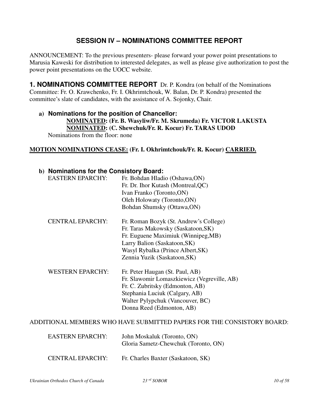### **SESSION IV – NOMINATIONS COMMITTEE REPORT**

ANNOUNCEMENT: To the previous presenters- please forward your power point presentations to Marusia Kaweski for distribution to interested delegates, as well as please give authorization to post the power point presentations on the UOCC website.

**1. NOMINATIONS COMMITTEE REPORT** Dr. P. Kondra (on behalf of the Nominations Committee: Fr. O. Krawchenko, Fr. I. Okhrimtchouk, W. Balan, Dr. P. Kondra) presented the committee's slate of candidates, with the assistance of A. Sojonky, Chair.

### **a) Nominations for the position of Chancellor: NOMINATED: (Fr. B. Wasyliw/Fr. M. Skrumeda) Fr. VICTOR LAKUSTA NOMINATED: (C. Shewchuk/Fr. R. Kocur) Fr. TARAS UDOD**  Nominations from the floor: none

#### **MOTION NOMINATIONS CEASE: (Fr. I. Okhrimtchouk/Fr. R. Kocur) CARRIED.**

| b) Nominations for the Consistory Board: |                                                                        |
|------------------------------------------|------------------------------------------------------------------------|
| <b>EASTERN EPARCHY:</b>                  | Fr. Bohdan Hladio (Oshawa, ON)                                         |
|                                          | Fr. Dr. Ihor Kutash (Montreal, QC)                                     |
|                                          | Ivan Franko (Toronto, ON)                                              |
|                                          | Oleh Holowaty (Toronto, ON)                                            |
|                                          | Bohdan Shumsky (Ottawa,ON)                                             |
| <b>CENTRAL EPARCHY:</b>                  | Fr. Roman Bozyk (St. Andrew's College)                                 |
|                                          | Fr. Taras Makowsky (Saskatoon, SK)                                     |
|                                          | Fr. Euguene Maximiuk (Winnipeg,MB)                                     |
|                                          | Larry Balion (Saskatoon, SK)                                           |
|                                          | Wasyl Rybalka (Prince Albert, SK)                                      |
|                                          | Zennia Yuzik (Saskatoon, SK)                                           |
| <b>WESTERN EPARCHY:</b>                  | Fr. Peter Haugan (St. Paul, AB)                                        |
|                                          | Fr. Slawomir Lomaszkiewicz (Vegreville, AB)                            |
|                                          | Fr. C. Zubritsky (Edmonton, AB)                                        |
|                                          | Stephania Luciuk (Calgary, AB)                                         |
|                                          | Walter Pylypchuk (Vancouver, BC)                                       |
|                                          | Donna Reed (Edmonton, AB)                                              |
|                                          | ADDITIONAL MEMBERS WHO HAVE SUBMITTED PAPERS FOR THE CONSISTORY BOARD: |
| <b>EASTERN EPARCHY:</b>                  | John Moskaluk (Toronto, ON)<br>Gloria Sametz-Chewchuk (Toronto, ON)    |
|                                          |                                                                        |

CENTRAL EPARCHY: Fr. Charles Baxter (Saskatoon, SK)

*Ukrainian Orthodox Church of Canada 23 rd SOBOR 10 of 58*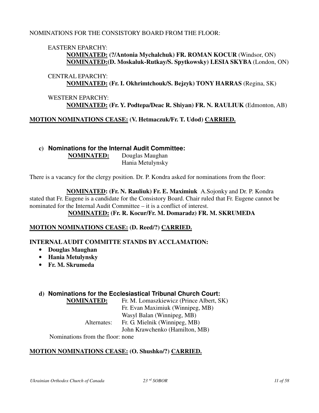#### NOMINATIONS FOR THE CONSISTORY BOARD FROM THE FLOOR:

#### EASTERN EPARCHY:

 **NOMINATED: (?/Antonia Mychalchuk) FR. ROMAN KOCUR** (Windsor, ON)  **NOMINATED:(D. Moskaluk-Rutkay/S. Spytkowsky) LESIA SKYBA** (London, ON)

#### CENTRAL EPARCHY: **NOMINATED: (Fr. I. Okhrimtchouk/S. Bejzyk) TONY HARRAS** (Regina, SK)

### WESTERN EPARCHY: **NOMINATED: (Fr. Y. Podtepa/Deac R. Shiyan) FR. N. RAULIUK** (Edmonton, AB)

### **MOTION NOMINATIONS CEASE: (V. Hetmaczuk/Fr. T. Udod) CARRIED.**

**c) Nominations for the Internal Audit Committee: NOMINATED:** Douglas Maughan Hania Metulynsky

There is a vacancy for the clergy position. Dr. P. Kondra asked for nominations from the floor:

 **NOMINATED: (Fr. N. Rauliuk) Fr. E. Maximiuk** A.Sojonky and Dr. P. Kondra stated that Fr. Eugene is a candidate for the Consistory Board. Chair ruled that Fr. Eugene cannot be nominated for the Internal Audit Committee – it is a conflict of interest. **NOMINATED: (Fr. R. Kocur/Fr. M. Domaradz) FR. M. SKRUMEDA** 

#### **MOTION NOMINATIONS CEASE: (D. Reed/?) CARRIED.**

#### **INTERNAL AUDIT COMMITTE STANDS BY ACCLAMATION:**

- **Douglas Maughan**
- **Hania Metulynsky**
- **Fr. M. Skrumeda**

#### **d) Nominations for the Ecclesiastical Tribunal Church Court:**

**NOMINATED:** Fr. M. Lomaszkiewicz (Prince Albert, SK) Fr. Evan Maximiuk (Winnipeg, MB) Wasyl Balan (Winnipeg, MB) Alternates: Fr. G. Mielnik (Winnipeg, MB) John Krawchenko (Hamilton, MB)

Nominations from the floor: none

#### **MOTION NOMINATIONS CEASE: (O. Shushko/?) CARRIED.**

*Ukrainian Orthodox Church of Canada 23 rd SOBOR 11 of 58*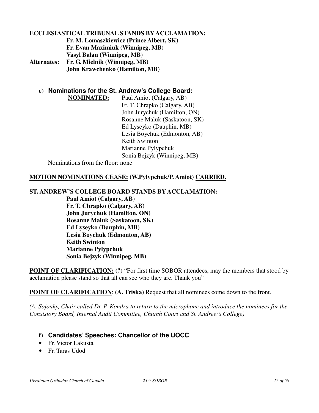#### **ECCLESIASTICAL TRIBUNAL STANDS BY ACCLAMATION: Fr. M. Lomaszkiewicz (Prince Albert, SK) Fr. Evan Maximiuk (Winnipeg, MB) Vasyl Balan (Winnipeg, MB) Alternates: Fr. G. Mielnik (Winnipeg, MB) John Krawchenko (Hamilton, MB)**

**e) Nominations for the St. Andrew's College Board:**

**NOMINATED:** Paul Amiot (Calgary, AB) Fr. T. Chrapko (Calgary, AB) John Jurychuk (Hamilton, ON) Rosanne Maluk (Saskatoon, SK) Ed Lyseyko (Dauphin, MB) Lesia Boychuk (Edmonton, AB) Keith Swinton Marianne Pylypchuk Sonia Bejzyk (Winnipeg, MB)

Nominations from the floor: none

#### **MOTION NOMINATIONS CEASE: (W.Pylypchuk/P. Amiot) CARRIED.**

**ST. ANDREW'S COLLEGE BOARD STANDS BY ACCLAMATION:**

 **Paul Amiot (Calgary, AB) Fr. T. Chrapko (Calgary, AB) John Jurychuk (Hamilton, ON) Rosanne Maluk (Saskatoon, SK) Ed Lyseyko (Dauphin, MB) Lesia Boychuk (Edmonton, AB) Keith Swinton Marianne Pylypchuk Sonia Bejzyk (Winnipeg, MB)**

**POINT OF CLARIFICATION: (?)** "For first time SOBOR attendees, may the members that stood by acclamation please stand so that all can see who they are. Thank you"

**POINT OF CLARIFICATION**: (**A. Triska**) Request that all nominees come down to the front.

*(A. Sojonky, Chair called Dr. P. Kondra to return to the microphone and introduce the nominees for the Consistory Board, Internal Audit Committee, Church Court and St. Andrew's College)* 

#### **f) Candidates' Speeches: Chancellor of the UOCC**

- Fr. Victor Lakusta
- Fr. Taras Udod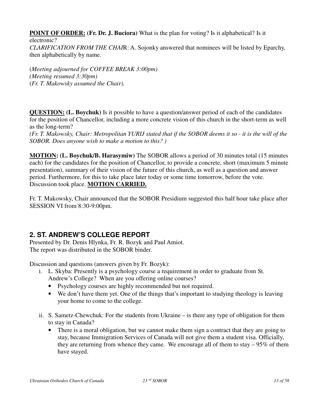**POINT OF ORDER:** (Fr. Dr. J. Buciora) What is the plan for voting? Is it alphabetical? Is it electronic? *CLARIFICATION FROM THE CHAI*R: A. Sojonky answered that nominees will be listed by Eparchy, then alphabetically by name.

(*Meeting adjourned for COFFEE BREAK 3:00pm) (Meeting resumed 3:30pm)* (*Fr. T. Makowsky assumed the Chair).* 

**QUESTION: (L. Boychuk)** Is it possible to have a question/answer period of each of the candidates for the position of Chancellor, including a more concrete vision of this church in the short-term as well as the long-term?

*(Fr. T. Makowsky, Chair: Metropolitan YURIJ stated that if the SOBOR deems it so - it is the will of the SOBOR. Does anyone wish to make a motion to this? )*

**MOTION: (L. Boychuk/B. Harasymiw)** The SOBOR allows a period of 30 minutes total (15 minutes each) for the candidates for the position of Chancellor, to provide a concrete, short (maximum 5 minute presentation), summary of their vision of the future of this church, as well as a question and answer period. Furthermore, for this to take place later today or some time tomorrow, before the vote. Discussion took place. **MOTION CARRIED.**

Fr. T. Makowsky, Chair announced that the SOBOR Presidium suggested this half hour take place after SESSION VI from 8:30-9:00pm.

# **2. ST. ANDREW'S COLLEGE REPORT**

Presented by Dr. Denis Hlynka, Fr. R. Bozyk and Paul Amiot. The report was distributed in the SOBOR binder.

Discussion and questions (answers given by Fr. Bozyk):

- i. L. Skyba: Presently is a psychology course a requirement in order to graduate from St. Andrew's College? When are you offering online courses?
	- Psychology courses are highly recommended but not required.
	- We don't have them yet. One of the things that's important to studying theology is leaving your home to come to the college.
- ii. S. Sametz-Chewchuk: For the students from Ukraine is there any type of obligation for them to stay in Canada?
	- There is a moral obligation, but we cannot make them sign a contract that they are going to stay, because Immigration Services of Canada will not give them a student visa. Officially, they are returning from whence they came. We encourage all of them to stay  $-95\%$  of them have stayed.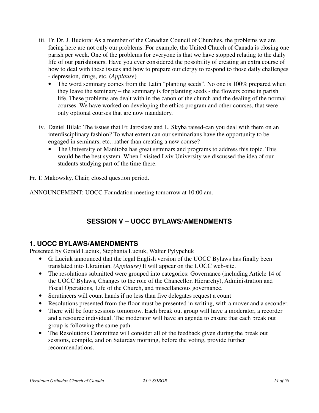- iii. Fr. Dr. J. Buciora: As a member of the Canadian Council of Churches, the problems we are facing here are not only our problems. For example, the United Church of Canada is closing one parish per week. One of the problems for everyone is that we have stopped relating to the daily life of our parishioners. Have you ever considered the possibility of creating an extra course of how to deal with these issues and how to prepare our clergy to respond to those daily challenges - depression, drugs, etc. (*Applause*)
	- The word seminary comes from the Latin "planting seeds". No one is 100% prepared when they leave the seminary – the seminary is for planting seeds - the flowers come in parish life. These problems are dealt with in the canon of the church and the dealing of the normal courses. We have worked on developing the ethics program and other courses, that were only optional courses that are now mandatory.
- iv. Daniel Bilak: The issues that Fr. Jaroslaw and L. Skyba raised-can you deal with them on an interdisciplinary fashion? To what extent can our seminarians have the opportunity to be engaged in seminars, etc.. rather than creating a new course?
	- The University of Manitoba has great seminars and programs to address this topic. This would be the best system. When I visited Lviv University we discussed the idea of our students studying part of the time there.

Fr. T. Makowsky, Chair, closed question period.

ANNOUNCEMENT: UOCC Foundation meeting tomorrow at 10:00 am.

# **SESSION V – UOCC BYLAWS/AMENDMENTS**

# **1. UOCC BYLAWS/AMENDMENTS**

Presented by Gerald Luciuk, Stephania Luciuk, Walter Pylypchuk

- G. Luciuk announced that the legal English version of the UOCC Bylaws has finally been translated into Ukrainian. *(Applause)* It will appear on the UOCC web-site.
- The resolutions submitted were grouped into categories: Governance (including Article 14 of the UOCC Bylaws, Changes to the role of the Chancellor, Hierarchy), Administration and Fiscal Operations, Life of the Church, and miscellaneous governance.
- Scrutineers will count hands if no less than five delegates request a count
- Resolutions presented from the floor must be presented in writing, with a mover and a seconder.
- There will be four sessions tomorrow. Each break out group will have a moderator, a recorder and a resource individual. The moderator will have an agenda to ensure that each break out group is following the same path.
- The Resolutions Committee will consider all of the feedback given during the break out sessions, compile, and on Saturday morning, before the voting, provide further recommendations.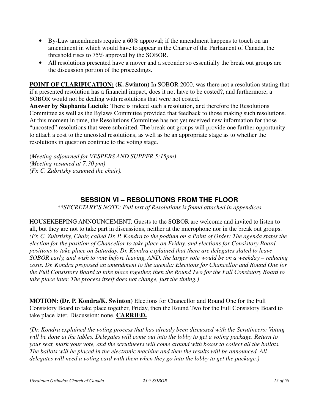- By-Law amendments require a 60% approval; if the amendment happens to touch on an amendment in which would have to appear in the Charter of the Parliament of Canada, the threshold rises to 75% approval by the SOBOR.
- All resolutions presented have a mover and a seconder so essentially the break out groups are the discussion portion of the proceedings.

**POINT OF CLARIFICATION: (K. Swinton)** In SOBOR 2000, was there not a resolution stating that if a presented resolution has a financial impact, does it not have to be costed?, and furthermore, a SOBOR would not be dealing with resolutions that were not costed.

**Answer by Stephania Luciuk:** There is indeed such a resolution, and therefore the Resolutions Committee as well as the Bylaws Committee provided that feedback to those making such resolutions. At this moment in time, the Resolutions Committee has not yet received new information for those "uncosted" resolutions that were submitted. The break out groups will provide one further opportunity to attach a cost to the uncosted resolutions, as well as be an appropriate stage as to whether the resolutions in question continue to the voting stage.

(*Meeting adjourned for VESPERS AND SUPPER 5:15pm) (Meeting resumed at 7:30 pm) (Fr. C. Zubritsky assumed the chair).*

# **SESSION VI – RESOLUTIONS FROM THE FLOOR**

*\*\*SECRETARY'S NOTE: Full text of Resolutions is found attached in appendices*

HOUSEKEEPING ANNOUNCEMENT: Guests to the SOBOR are welcome and invited to listen to all, but they are not to take part in discussions, neither at the microphone nor in the break out groups. *(Fr. C. Zubrtisky, Chair, called Dr. P. Kondra to the podium on a Point of Order: The agenda states the election for the position of Chancellor to take place on Friday, and elections for Consistory Board positions to take place on Saturday. Dr. Kondra explained that there are delegates slated to leave SOBOR early, and wish to vote before leaving, AND, the larger vote would be on a weekday – reducing costs. Dr. Kondra proposed an amendment to the agenda: Elections for Chancellor and Round One for the Full Consistory Board to take place together, then the Round Two for the Full Consistory Board to take place later. The process itself does not change, just the timing.)* 

**MOTION: (Dr. P. Kondra/K. Swinton)** Elections for Chancellor and Round One for the Full Consistory Board to take place together, Friday, then the Round Two for the Full Consistory Board to take place later. Discussion: none. **CARRIED.** 

*(Dr. Kondra explained the voting process that has already been discussed with the Scrutineers: Voting will be done at the tables. Delegates will come out into the lobby to get a voting package. Return to your seat, mark your vote, and the scrutineers will come around with boxes to collect all the ballots. The ballots will be placed in the electronic machine and then the results will be announced. All delegates will need a voting card with them when they go into the lobby to get the package.)*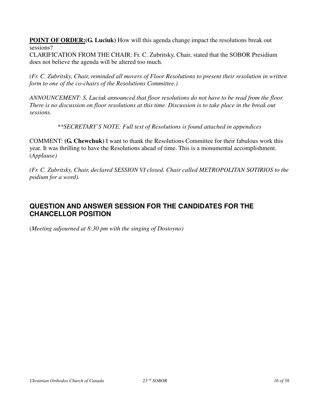**POINT OF ORDER: (G. Luciuk)** How will this agenda change impact the resolutions break out sessions?

CLARIFICATION FROM THE CHAIR: Fr. C. Zubritsky, Chair, stated that the SOBOR Presidium does not believe the agenda will be altered too much.

*(Fr. C. Zubritsky, Chair, reminded all movers of Floor Resolutions to present their resolution in written form to one of the co-chairs of the Resolutions Committee.)* 

*ANNOUNCEMENT: S. Luciuk announced that floor resolutions do not have to be read from the floor. There is no discussion on floor resolutions at this time. Discussion is to take place in the break out sessions.* 

*\*\*SECRETARY'S NOTE: Full text of Resolutions is found attached in appendices*

COMMENT: **(G. Chewchuk)** I want to thank the Resolutions Committee for their fabulous work this year. It was thrilling to have the Resolutions ahead of time. This is a monumental accomplishment. (*Applause)* 

*(Fr. C. Zubritsky, Chair, declared SESSION VI closed. Chair called METROPOLITAN SOTIRIOS to the podium for a word).* 

# **QUESTION AND ANSWER SESSION FOR THE CANDIDATES FOR THE CHANCELLOR POSITION**

(*Meeting adjourned at 8:30 pm with the singing of Dostoyno)*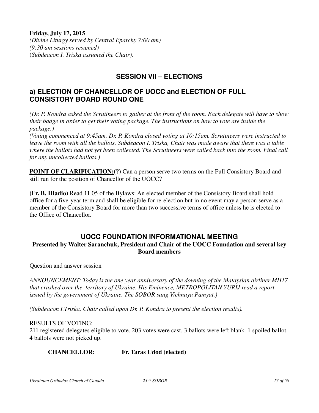#### **Friday, July 17, 2015**

*(Divine Liturgy served by Central Eparchy 7:00 am) (9:30 am sessions resumed)* (*Subdeacon I. Triska assumed the Chair).*

# **SESSION VII – ELECTIONS**

### **a) ELECTION OF CHANCELLOR OF UOCC and ELECTION OF FULL CONSISTORY BOARD ROUND ONE**

*(Dr. P. Kondra asked the Scrutineers to gather at the front of the room. Each delegate will have to show their badge in order to get their voting package. The instructions on how to vote are inside the package.)* 

*(Voting commenced at 9:45am. Dr. P. Kondra closed voting at 10:15am. Scrutineers were instructed to leave the room with all the ballots. Subdeacon I. Triska, Chair was made aware that there was a table where the ballots had not yet been collected. The Scrutineers were called back into the room. Final call for any uncollected ballots.)* 

**POINT OF CLARIFICATION:**(?) Can a person serve two terms on the Full Consistory Board and still run for the position of Chancellor of the UOCC?

**(Fr. B. Hladio)** Read 11.05 of the Bylaws: An elected member of the Consistory Board shall hold office for a five-year term and shall be eligible for re-election but in no event may a person serve as a member of the Consistory Board for more than two successive terms of office unless he is elected to the Office of Chancellor.

### **UOCC FOUNDATION INFORMATIONAL MEETING**

#### **Presented by Walter Saranchuk, President and Chair of the UOCC Foundation and several key Board members**

Question and answer session

*ANNOUNCEMENT: Today is the one year anniversary of the downing of the Malaysian airliner MH17 that crashed over the territory of Ukraine. His Eminence, METROPOLITAN YURIJ read a report issued by the government of Ukraine. The SOBOR sang Vichnaya Pamyat.)* 

*(Subdeacon I.Triska, Chair called upon Dr. P. Kondra to present the election results).* 

#### RESULTS OF VOTING:

211 registered delegates eligible to vote. 203 votes were cast. 3 ballots were left blank. 1 spoiled ballot. 4 ballots were not picked up.

**CHANCELLOR: Fr. Taras Udod (elected)**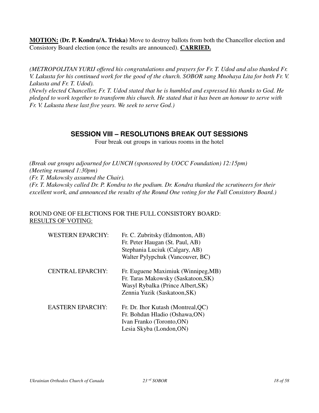**MOTION: (Dr. P. Kondra/A. Triska)** Move to destroy ballots from both the Chancellor election and Consistory Board election (once the results are announced). **CARRIED.** 

*(METROPOLITAN YURIJ offered his congratulations and prayers for Fr. T. Udod and also thanked Fr. V. Lakusta for his continued work for the good of the church. SOBOR sang Mnohaya Lita for both Fr. V. Lakusta and Fr. T. Udod).* 

*(Newly elected Chancellor, Fr. T. Udod stated that he is humbled and expressed his thanks to God. He pledged to work together to transform this church. He stated that it has been an honour to serve with Fr. V. Lakusta these last five years. We seek to serve God.)* 

# **SESSION VIII – RESOLUTIONS BREAK OUT SESSIONS**

Four break out groups in various rooms in the hotel

*(Break out groups adjourned for LUNCH (sponsored by UOCC Foundation) 12:15pm) (Meeting resumed 1:30pm) (Fr. T. Makowsky assumed the Chair). (Fr. T. Makowsky called Dr. P. Kondra to the podium. Dr. Kondra thanked the scrutineers for their excellent work, and announced the results of the Round One voting for the Full Consistory Board.)*

#### ROUND ONE OF ELECTIONS FOR THE FULL CONSISTORY BOARD: RESULTS OF VOTING:

| <b>WESTERN EPARCHY:</b> | Fr. C. Zubritsky (Edmonton, AB)<br>Fr. Peter Haugan (St. Paul, AB)<br>Stephania Luciuk (Calgary, AB)<br>Walter Pylypchuk (Vancouver, BC)       |
|-------------------------|------------------------------------------------------------------------------------------------------------------------------------------------|
| <b>CENTRAL EPARCHY:</b> | Fr. Euguene Maximiuk (Winnipeg, MB)<br>Fr. Taras Makowsky (Saskatoon, SK)<br>Wasyl Rybalka (Prince Albert, SK)<br>Zennia Yuzik (Saskatoon, SK) |
| <b>EASTERN EPARCHY:</b> | Fr. Dr. Ihor Kutash (Montreal, QC)<br>Fr. Bohdan Hladio (Oshawa, ON)<br>Ivan Franko (Toronto, ON)<br>Lesia Skyba (London, ON)                  |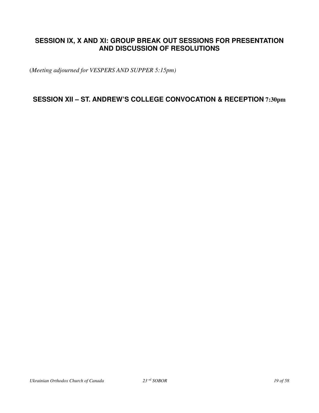# **SESSION IX, X AND XI: GROUP BREAK OUT SESSIONS FOR PRESENTATION AND DISCUSSION OF RESOLUTIONS**

(*Meeting adjourned for VESPERS AND SUPPER 5:15pm)*

**SESSION XII – ST. ANDREW'S COLLEGE CONVOCATION & RECEPTION 7:30pm**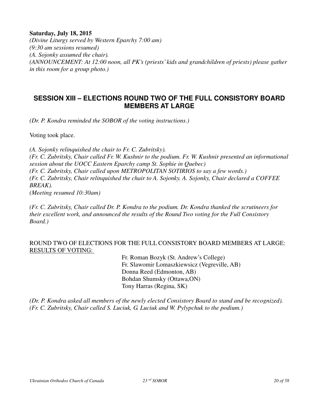#### **Saturday, July 18, 2015**

*(Divine Liturgy served by Western Eparchy 7:00 am) (9:30 am sessions resumed) (A. Sojonky assumed the chair). (ANNOUNCEMENT: At 12:00 noon, all PK's (priests' kids and grandchildren of priests) please gather in this room for a group photo.)* 

### **SESSION XIII – ELECTIONS ROUND TWO OF THE FULL CONSISTORY BOARD MEMBERS AT LARGE**

*(Dr. P. Kondra reminded the SOBOR of the voting instructions.)* 

Voting took place.

*(A. Sojonky relinquished the chair to Fr. C. Zubritsky). (Fr. C. Zubritsky, Chair called Fr. W. Kushnir to the podium. Fr. W. Kushnir presented an informational session about the UOCC Eastern Eparchy camp St. Sophie in Quebec) (Fr. C. Zubritsky, Chair called upon METROPOLITAN SOTIRIOS to say a few words.) (Fr. C. Zubritsky, Chair relinquished the chair to A. Sojonky. A. Sojonky, Chair declared a COFFEE BREAK).* 

*(Meeting resumed 10:30am)* 

*(Fr. C. Zubritsky, Chair called Dr. P. Kondra to the podium. Dr. Kondra thanked the scrutineers for their excellent work, and announced the results of the Round Two voting for the Full Consistory Board.)*

#### ROUND TWO OF ELECTIONS FOR THE FULL CONSISTORY BOARD MEMBERS AT LARGE: RESULTS OF VOTING:

 Fr. Roman Bozyk (St. Andrew's College) Fr. Slawomir Lomaszkiewsicz (Vegreville, AB) Donna Reed (Edmonton, AB) Bohdan Shumsky (Ottawa,ON) Tony Harras (Regina, SK)

*(Dr. P. Kondra asked all members of the newly elected Consistory Board to stand and be recognized). (Fr. C. Zubritsky, Chair called S. Luciuk, G. Luciuk and W. Pylypchuk to the podium.)*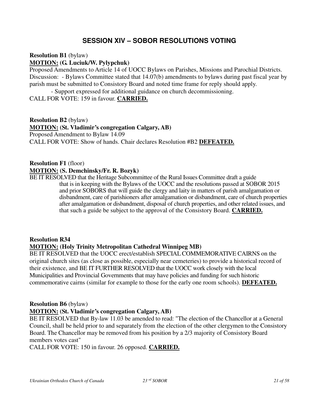### **SESSION XIV – SOBOR RESOLUTIONS VOTING**

**Resolution B1** (bylaw)

### **MOTION: (G. Luciuk/W. Pylypchuk)**

Proposed Amendments to Article 14 of UOCC Bylaws on Parishes, Missions and Parochial Districts. Discussion: - Bylaws Committee stated that 14.07(b) amendments to bylaws during past fiscal year by parish must be submitted to Consistory Board and noted time frame for reply should apply.

 - Support expressed for additional guidance on church decommissioning. CALL FOR VOTE: 159 in favour. **CARRIED.**

**Resolution B2** (bylaw) **MOTION: (St. Vladimir's congregation Calgary, AB)** Proposed Amendment to Bylaw 14.09 CALL FOR VOTE: Show of hands. Chair declares Resolution #B2 **DEFEATED.**

**Resolution F1** (floor) **MOTION: (S. Demchinsky/Fr. R. Bozyk)**

BE IT RESOLVED that the Heritage Subcommittee of the Rural Issues Committee draft a guide that is in keeping with the Bylaws of the UOCC and the resolutions passed at SOBOR 2015 and prior SOBORS that will guide the clergy and laity in matters of parish amalgamation or disbandment, care of parishioners after amalgamation or disbandment, care of church properties after amalgamation or disbandment, disposal of church properties, and other related issues, and that such a guide be subject to the approval of the Consistory Board. **CARRIED.**

# **Resolution R34 MOTION: (Holy Trinity Metropolitan Cathedral Winnipeg MB)**

BE IT RESOLVED that the UOCC erect/establish SPECIAL COMMEMORATIVE CAIRNS on the original church sites (as close as possible, especially near cemeteries) to provide a historical record of their existence, and BE IT FURTHER RESOLVED that the UOCC work closely with the local Municipalities and Provincial Governments that may have policies and funding for such historic commemorative cairns (similar for example to those for the early one room schools). **DEFEATED.**

# **Resolution B6** (bylaw)

#### **MOTION: (St. Vladimir's congregation Calgary, AB)**

BE IT RESOLVED that By-law 11.03 be amended to read: "The election of the Chancellor at a General Council, shall be held prior to and separately from the election of the other clergymen to the Consistory Board. The Chancellor may be removed from his position by a 2/3 majority of Consistory Board members votes cast"

CALL FOR VOTE: 150 in favour. 26 opposed. **CARRIED.**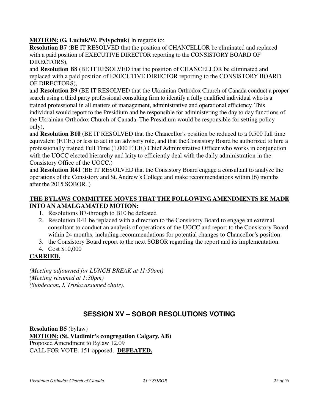**MOTION: (G. Luciuk/W. Pylypchuk)** In regards to:

**Resolution B7** (BE IT RESOLVED that the position of CHANCELLOR be eliminated and replaced with a paid position of EXECUTIVE DIRECTOR reporting to the CONSISTORY BOARD OF DIRECTORS),

and **Resolution B8** (BE IT RESOLVED that the position of CHANCELLOR be eliminated and replaced with a paid position of EXECUTIVE DIRECTOR reporting to the CONSISTORY BOARD OF DIRECTORS),

and **Resolution B9** (BE IT RESOLVED that the Ukrainian Orthodox Church of Canada conduct a proper search using a third party professional consulting firm to identify a fully qualified individual who is a trained professional in all matters of management, administrative and operational efficiency. This individual would report to the Presidium and be responsible for administering the day to day functions of the Ukrainian Orthodox Church of Canada. The Presidium would be responsible for setting policy only),

and **Resolution B10** (BE IT RESOLVED that the Chancellor's position be reduced to a 0.500 full time equivalent (F.T.E.) or less to act in an advisory role, and that the Consistory Board be authorized to hire a professionally trained Full Time (1.000 F.T.E.) Chief Administrative Officer who works in conjunction with the UOCC elected hierarchy and laity to efficiently deal with the daily administration in the Consistory Office of the UOCC.)

and **Resolution R41** (BE IT RESOLVED that the Consistory Board engage a consultant to analyze the operations of the Consistory and St. Andrew's College and make recommendations within (6) months after the 2015 SOBOR. )

#### **THE BYLAWS COMMITTEE MOVES THAT THE FOLLOWING AMENDMENTS BE MADE INTO AN AMALGAMATED MOTION:**

- 1. Resolutions B7-through to B10 be defeated
- 2. Resolution R41 be replaced with a direction to the Consistory Board to engage an external consultant to conduct an analysis of operations of the UOCC and report to the Consistory Board within 24 months, including recommendations for potential changes to Chancellor's position
- 3. the Consistory Board report to the next SOBOR regarding the report and its implementation.
- 4. Cost \$10,000

### **CARRIED.**

*(Meeting adjourned for LUNCH BREAK at 11:50am) (Meeting resumed at 1:30pm) (Subdeacon, I. Triska assumed chair).* 

# **SESSION XV – SOBOR RESOLUTIONS VOTING**

**Resolution B5** (bylaw) **MOTION: (St. Vladimir's congregation Calgary, AB)** Proposed Amendment to Bylaw 12.09 CALL FOR VOTE: 151 opposed. **DEFEATED.**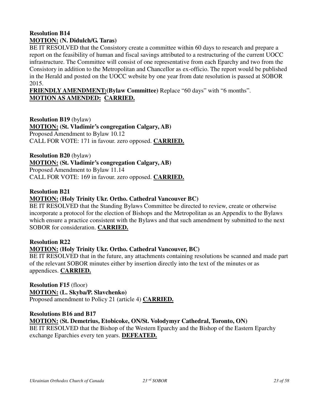### **Resolution B14 MOTION: (N. Didulch/G. Taras)**

BE IT RESOLVED that the Consistory create a committee within 60 days to research and prepare a report on the feasibility of human and fiscal savings attributed to a restructuring of the current UOCC infrastructure. The Committee will consist of one representative from each Eparchy and two from the Consistory in addition to the Metropolitan and Chancellor as ex-officio. The report would be published in the Herald and posted on the UOCC website by one year from date resolution is passed at SOBOR 2015.

**FRIENDLY AMENDMENT:(Bylaw Committee)** Replace "60 days" with "6 months". **MOTION AS AMENDED: CARRIED.**

**Resolution B19** (bylaw) **MOTION: (St. Vladimir's congregation Calgary, AB)** Proposed Amendment to Bylaw 10.12 CALL FOR VOTE: 171 in favour. zero opposed. **CARRIED.**

**Resolution B20** (bylaw) **MOTION: (St. Vladimir's congregation Calgary, AB)** Proposed Amendment to Bylaw 11.14 CALL FOR VOTE: 169 in favour. zero opposed. **CARRIED.**

#### **Resolution B21**

#### **MOTION: (Holy Trinity Ukr. Ortho. Cathedral Vancouver BC)**

BE IT RESOLVED that the Standing Bylaws Committee be directed to review, create or otherwise incorporate a protocol for the election of Bishops and the Metropolitan as an Appendix to the Bylaws which ensure a practice consistent with the Bylaws and that such amendment by submitted to the next SOBOR for consideration. **CARRIED.**

#### **Resolution R22**

#### **MOTION: (Holy Trinity Ukr. Ortho. Cathedral Vancouver, BC)**

BE IT RESOLVED that in the future, any attachments containing resolutions be scanned and made part of the relevant SOBOR minutes either by insertion directly into the text of the minutes or as appendices. **CARRIED.**

**Resolution F15** (floor) **MOTION: (L. Skyba/P. Slavchenko)** Proposed amendment to Policy 21 (article 4) **CARRIED.**

#### **Resolutions B16 and B17**

**MOTION: (St. Demetrius, Etobicoke, ON/St. Volodymyr Cathedral, Toronto, ON)**

BE IT RESOLVED that the Bishop of the Western Eparchy and the Bishop of the Eastern Eparchy exchange Eparchies every ten years. **DEFEATED.**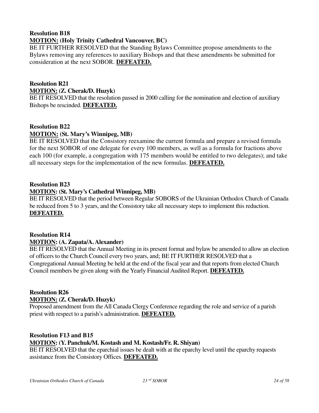### **Resolution B18 MOTION: (Holy Trinity Cathedral Vancouver, BC)**

BE IT FURTHER RESOLVED that the Standing Bylaws Committee propose amendments to the Bylaws removing any references to auxiliary Bishops and that these amendments be submitted for consideration at the next SOBOR. **DEFEATED.**

### **Resolution R21**

#### **MOTION: (Z. Cherak/D. Huzyk)**

BE IT RESOLVED that the resolution passed in 2000 calling for the nomination and election of auxiliary Bishops be rescinded. **DEFEATED.**

#### **Resolution B22**

### **MOTION: (St. Mary's Winnipeg, MB)**

BE IT RESOLVED that the Consistory reexamine the current formula and prepare a revised formula for the next SOBOR of one delegate for every 100 members, as well as a formula for fractions above each 100 (for example, a congregation with 175 members would be entitled to two delegates); and take all necessary steps for the implementation of the new formulas. **DEFEATED.**

#### **Resolution B23**

#### **MOTION: (St. Mary's Cathedral Winnipeg, MB)**

BE IT RESOLVED that the period between Regular SOBORS of the Ukrainian Orthodox Church of Canada be reduced from 5 to 3 years, and the Consistory take all necessary steps to implement this reduction. **DEFEATED.**

#### **Resolution R14 MOTION: (A. Zapata/A. Alexander)**

BE IT RESOLVED that the Annual Meeting in its present format and bylaw be amended to allow an election of officers to the Church Council every two years, and; BE IT FURTHER RESOLVED that a Congregational Annual Meeting be held at the end of the fiscal year and that reports from elected Church Council members be given along with the Yearly Financial Audited Report. **DEFEATED.**

### **Resolution R26**

#### **MOTION: (Z. Cherak/D. Huzyk)**

Proposed amendment from the All Canada Clergy Conference regarding the role and service of a parish priest with respect to a parish's administration. **DEFEATED.**

#### **Resolution F13 and B15**

#### **MOTION: (Y. Panchuk/M. Kostash and M. Kostash/Fr. R. Shiyan)**

BE IT RESOLVED that the eparchial issues be dealt with at the eparchy level until the eparchy requests assistance from the Consistory Offices. **DEFEATED.**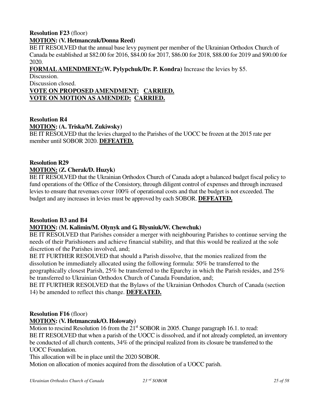#### **Resolution F23** (floor) **MOTION: (V. Hetmanczuk/Donna Reed)**

BE IT RESOLVED that the annual base levy payment per member of the Ukrainian Orthodox Church of Canada be established at \$82.00 for 2016, \$84.00 for 2017, \$86.00 for 2018, \$88.00 for 2019 and \$90.00 for 2020.

### **FORMAL AMENDMENT:(W. Pylypchuk/Dr. P. Kondra)** Increase the levies by \$5.

Discussion.

Discussion closed.

#### **VOTE ON PROPOSED AMENDMENT: CARRIED. VOTE ON MOTION AS AMENDED: CARRIED.**

#### **Resolution R4 MOTION: (A. Triska/M. Zukiwsky)**

BE IT RESOLVED that the levies charged to the Parishes of the UOCC be frozen at the 2015 rate per member until SOBOR 2020. **DEFEATED.**

### **Resolution R29**

#### **MOTION: (Z. Cherak/D. Huzyk)**

BE IT RESOLVED that the Ukrainian Orthodox Church of Canada adopt a balanced budget fiscal policy to fund operations of the Office of the Consistory, through diligent control of expenses and through increased levies to ensure that revenues cover 100% of operational costs and that the budget is not exceeded. The budget and any increases in levies must be approved by each SOBOR. **DEFEATED.**

#### **Resolution B3 and B4**

#### **MOTION: (M. Kalimin/M. Olynyk and G. Blysniuk/W. Chewchuk)**

BE IT RESOLVED that Parishes consider a merger with neighbouring Parishes to continue serving the needs of their Parishioners and achieve financial stability, and that this would be realized at the sole discretion of the Parishes involved, and;

BE IT FURTHER RESOLVED that should a Parish dissolve, that the monies realized from the dissolution be immediately allocated using the following formula: 50% be transferred to the geographically closest Parish, 25% be transferred to the Eparchy in which the Parish resides, and 25% be transferred to Ukrainian Orthodox Church of Canada Foundation, and;

BE IT FURTHER RESOLVED that the Bylaws of the Ukrainian Orthodox Church of Canada (section 14) be amended to reflect this change. **DEFEATED.**

#### **Resolution F16** (floor)

#### **MOTION: (V. Hetmanczuk/O. Holowaty)**

Motion to rescind Resolution 16 from the  $21<sup>st</sup>$  SOBOR in 2005. Change paragraph 16.1. to read: BE IT RESOLVED that when a parish of the UOCC is dissolved, and if not already completed, an inventory be conducted of all church contents, 34% of the principal realized from its closure be transferred to the UOCC Foundation.

This allocation will be in place until the 2020 SOBOR.

Motion on allocation of monies acquired from the dissolution of a UOCC parish.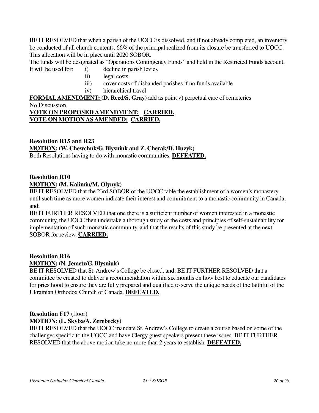BE IT RESOLVED that when a parish of the UOCC is dissolved, and if not already completed, an inventory be conducted of all church contents, 66% of the principal realized from its closure be transferred to UOCC. This allocation will be in place until 2020 SOBOR.

The funds will be designated as "Operations Contingency Funds" and held in the Restricted Funds account.

- It will be used for: i) decline in parish levies
	- ii) legal costs
	- iii) cover costs of disbanded parishes if no funds available
	- iv) hierarchical travel

**FORMAL AMENDMENT: (D. Reed/S. Gray)** add as point v) perpetual care of cemeteries No Discussion.

#### **VOTE ON PROPOSED AMENDMENT: CARRIED. VOTE ON MOTION AS AMENDED: CARRIED.**

### **Resolution R15 and R23 MOTION: (W. Chewchuk/G. Blysniuk and Z. Cherak/D. Huzyk)**

Both Resolutions having to do with monastic communities. **DEFEATED.**

#### **Resolution R10**

#### **MOTION: (M. Kalimin/M. Olynyk)**

BE IT RESOLVED that the 23rd SOBOR of the UOCC table the establishment of a women's monastery until such time as more women indicate their interest and commitment to a monastic community in Canada, and;

BE IT FURTHER RESOLVED that one there is a sufficient number of women interested in a monastic community, the UOCC then undertake a thorough study of the costs and principles of self-sustainability for implementation of such monastic community, and that the results of this study be presented at the next SOBOR for review. **CARRIED.**

#### **Resolution R16 MOTION: (N. Jemetz/G. Blysniuk)**

BE IT RESOLVED that St. Andrew's College be closed, and; BE IT FURTHER RESOLVED that a committee be created to deliver a recommendation within six months on how best to educate our candidates for priesthood to ensure they are fully prepared and qualified to serve the unique needs of the faithful of the Ukrainian Orthodox Church of Canada. **DEFEATED.**

### **Resolution F17** (floor) **MOTION: (L. Skyba/A. Zerebecky)**

BE IT RESOLVED that the UOCC mandate St. Andrew's College to create a course based on some of the challenges specific to the UOCC and have Clergy guest speakers present these issues. BE IT FURTHER RESOLVED that the above motion take no more than 2 years to establish. **DEFEATED.**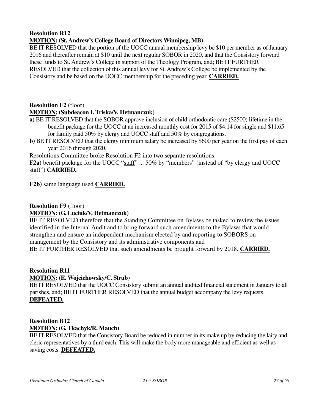#### **MOTION: (St. Andrew's College Board of Directors Winnipeg, MB)**

BE IT RESOLVED that the portion of the UOCC annual membership levy be \$10 per member as of January 2016 and thereafter remain at \$10 until the next regular SOBOR in 2020, and that the Consistory forward these funds to St. Andrew's College in support of the Theology Program, and; BE IT FURTHER RESOLVED that the collection of this annual levy for St. Andrew's College be implemented by the Consistory and be based on the UOCC membership for the preceding year. **CARRIED.**

#### **Resolution F2** (floor)

#### **MOTION: (Subdeacon I. Triska/V. Hetmanczuk)**

- **a)** BE IT RESOLVED that the SOBOR approve inclusion of child orthodontic care (\$2500) lifetime in the benefit package for the UOCC at an increased monthly cost for 2015 of \$4.14 for single and \$11.65 for family paid 50% by clergy and UOCC staff and 50% by congregations.
- **b**) BE IT RESOLVED that the clergy minimum salary be increased by \$600 per year on the first pay of each year 2016 through 2020.

Resolutions Committee broke Resolution F2 into two separate resolutions:

**F2a)** benefit package for the UOCC "staff" ... 50% by "members" (instead of "by clergy and UOCC staff") **CARRIED.** 

**F2b)** same language used **CARRIED.**

#### **Resolution F9** (floor) **MOTION: (G. Luciuk/V. Hetmanczuk)**

BE IT RESOLVED therefore that the Standing Committee on Bylaws be tasked to review the issues identified in the Internal Audit and to bring forward such amendments to the Bylaws that would strengthen and ensure an independent mechanism elected by and reporting to SOBORS on management by the Consistory and its administrative components and BE IT FURTHER RESOLVED that such amendments be brought forward by 2018. **CARRIED.**

#### **Resolution R11 MOTION: (E. Wojcichowsky/C. Strub)**

BE IT RESOLVED that the UOCC Consistory submit an annual audited financial statement in January to all parishes, and; BE IT FURTHER RESOLVED that the annual budget accompany the levy requests. **DEFEATED.**

### **Resolution B12 MOTION: (G. Tkachyk/R. Mauch)**

BE IT RESOLVED that the Consistory Board be reduced in number in its make up by reducing the laity and cleric representatives by a third each. This will make the body more manageable and efficient as well as saving costs. **DEFEATED.**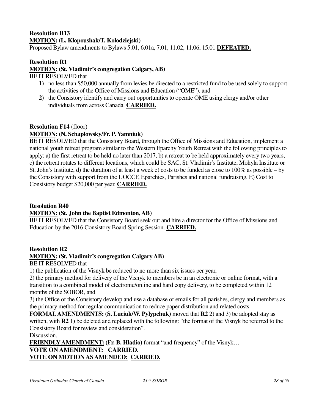# **Resolution B13 MOTION: (L. Klopoushak/T. Kolodziejski)**

Proposed Bylaw amendments to Bylaws 5.01, 6.01a, 7.01, 11.02, 11.06, 15.01 **DEFEATED.**

#### **Resolution R1 MOTION: (St. Vladimir's congregation Calgary, AB)**

BE IT RESOLVED that

- **1)** no less than \$50,000 annually from levies be directed to a restricted fund to be used solely to support the activities of the Office of Missions and Education ("OME"), and
- **2)** the Consistory identify and carry out opportunities to operate OME using clergy and/or other individuals from across Canada. **CARRIED.**

#### **Resolution F14** (floor)

#### **MOTION: (N. Schaplowsky/Fr. P. Yamniuk)**

BE IT RESOLVED that the Consistory Board, through the Office of Missions and Education, implement a national youth retreat program similar to the Western Eparchy Youth Retreat with the following principles to apply: a) the first retreat to be held no later than 2017, b) a retreat to be held approximately every two years, c) the retreat rotates to different locations, which could be SAC, St. Vladimir's Institute, Mohyla Institute or St. John's Institute, d) the duration of at least a week e) costs to be funded as close to 100% as possible – by the Consistory with support from the UOCCF, Eparchies, Parishes and national fundraising. E) Cost to Consistory budget \$20,000 per year. **CARRIED.**

#### **Resolution R40**

#### **MOTION: (St. John the Baptist Edmonton, AB)**

BE IT RESOLVED that the Consistory Board seek out and hire a director for the Office of Missions and Education by the 2016 Consistory Board Spring Session. **CARRIED.**

#### **Resolution R2**

#### **MOTION: (St. Vladimir's congregation Calgary AB)**

BE IT RESOLVED that

1) the publication of the Visnyk be reduced to no more than six issues per year,

2) the primary method for delivery of the Visnyk to members be in an electronic or online format, with a transition to a combined model of electronic/online and hard copy delivery, to be completed within 12 months of the SOBOR, and

3) the Office of the Consistory develop and use a database of emails for all parishes, clergy and members as the primary method for regular communication to reduce paper distribution and related costs.

**FORMAL AMENDMENTS: (S. Luciuk/W. Pylypchuk)** moved that **R2** 2) and 3) be adopted stay as written, with **R2** 1) be deleted and replaced with the following: "the format of the Visnyk be referred to the Consistory Board for review and consideration".

Discussion.

**FRIENDLY AMENDMENT: (Fr. B. Hladio)** format "and frequency" of the Visnyk… **VOTE ON AMENDMENT: CARRIED. VOTE ON MOTION AS AMENDED: CARRIED.**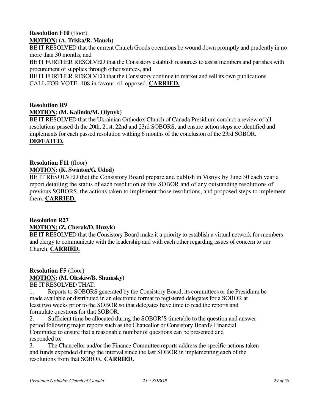#### **Resolution F10** (floor) **MOTION: (A. Triska/R. Mauch)**

BE IT RESOLVED that the current Church Goods operations be wound down promptly and prudently in no more than 30 months, and

BE IT FURTHER RESOLVED that the Consistory establish resources to assist members and parishes with procurement of supplies through other sources, and

BE IT FURTHER RESOLVED that the Consistory continue to market and sell its own publications. CALL FOR VOTE: 108 in favour. 41 opposed. **CARRIED.**

#### **Resolution R9**

#### **MOTION: (M. Kalimin/M. Olynyk)**

BE IT RESOLVED that the Ukrainian Orthodox Church of Canada Presidium conduct a review of all resolutions passed th the 20th, 21st, 22nd and 23rd SOBORS, and ensure action steps are identified and implements for each passed resolution withing 6 months of the conclusion of the 23rd SOBOR. **DEFEATED.**

### **Resolution F11** (floor)

### **MOTION: (K. Swinton/G. Udod)**

BE IT RESOLVED that the Consistory Board prepare and publish in Visnyk by June 30 each year a report detailing the status of each resolution of this SOBOR and of any outstanding resolutions of previous SOBORS, the actions taken to implement those resolutions, and proposed steps to implement them. **CARRIED.**

#### **Resolution R27 MOTION: (Z. Cherak/D. Huzyk)**

BE IT RESOLVED that the Consistory Board make it a priority to establish a virtual network for members and clergy to communicate with the leadership and with each other regarding issues of concern to our Church. **CARRIED.**

# **Resolution F5** (floor) **MOTION: (M. Oleskiw/B. Shumsky)**

BE IT RESOLVED THAT:

1. Reports to SOBORS generated by the Consistory Board, its committees or the Presidium be made available or distributed in an electronic format to registered delegates for a SOBOR at least two weeks prior to the SOBOR so that delegates have time to read the reports and formulate questions for that SOBOR.

2. Sufficient time be allocated during the SOBOR'S timetable to the question and answer period following major reports such as the Chancellor or Consistory Board's Financial Committee to ensure that a reasonable number of questions can be presented and responded to;

3. The Chancellor and/or the Finance Committee reports address the specific actions taken and funds expended during the interval since the last SOBOR in implementing each of the resolutions from that SOBOR. **CARRIED.**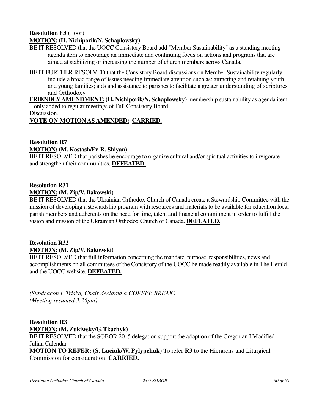# **Resolution F3** (floor)

### **MOTION: (H. Nichiporik/N. Schaplowsky)**

- BE IT RESOLVED that the UOCC Consistory Board add "Member Sustainability" as a standing meeting agenda item to encourage an immediate and continuing focus on actions and programs that are aimed at stabilizing or increasing the number of church members across Canada.
- BE IT FURTHER RESOLVED that the Consistory Board discussions on Member Sustainability regularly include a broad range of issues needing immediate attention such as: attracting and retaining youth and young families; aids and assistance to parishes to facilitate a greater understanding of scriptures and Orthodoxy.

**FRIENDLY AMENDMENT: (H. Nichiporik/N. Schaplowsky)** membership sustainability as agenda item – only added to regular meetings of Full Consistory Board.

Discussion.

### **VOTE ON MOTION AS AMENDED: CARRIED.**

### **Resolution R7**

#### **MOTION: (M. Kostash/Fr. R. Shiyan)**

BE IT RESOLVED that parishes be encourage to organize cultural and/or spiritual activities to invigorate and strengthen their communities. **DEFEATED.**

#### **Resolution R31 MOTION: (M. Zip/V. Bakowski)**

BE IT RESOLVED that the Ukrainian Orthodox Church of Canada create a Stewardship Committee with the mission of developing a stewardship program with resources and materials to be available for education local parish members and adherents on the need for time, talent and financial commitment in order to fulfill the vision and mission of the Ukrainian Orthodox Church of Canada. **DEFEATED.**

### **Resolution R32**

#### **MOTION: (M. Zip/V. Bakowski)**

BE IT RESOLVED that full information concerning the mandate, purpose, responsibilities, news and accomplishments on all committees of the Consistory of the UOCC be made readily available in The Herald and the UOCC website. **DEFEATED.**

*(Subdeacon I. Triska, Chair declared a COFFEE BREAK) (Meeting resumed 3:25pm)* 

**Resolution R3 MOTION: (M. Zukiwsky/G. Tkachyk)** BE IT RESOLVED that the SOBOR 2015 delegation support the adoption of the Gregorian I Modified Julian Calendar. **MOTION TO REFER: (S. Luciuk/W. Pylypchuk)** To refer **R3** to the Hierarchs and Liturgical Commission for consideration. **CARRIED.**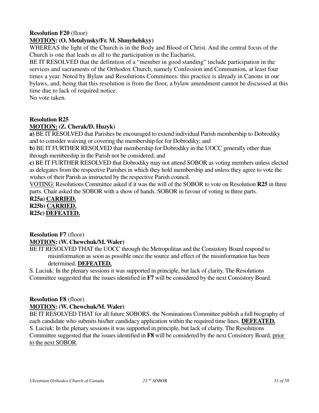### **Resolution F20** (floor)

#### **MOTION: (O. Metulynsky/Fr. M. Shmyhelskyy)**

WHEREAS the light of the Church is in the Body and Blood of Christ. And the central focus of the Church is one that leads us all to the participation in the Eucharist,

BE IT RESOLVED that the definition of a "member in good standing" include participation in the services and sacraments of the Orthodox Church, namely Confession and Communion, at least four times a year. Noted by Bylaw and Resolutions Committees: this practice is already in Canons in our bylaws, and, being that this resolution is from the floor, a bylaw amendment cannot be discussed at this time due to lack of required notice.

No vote taken.

### **Resolution R25**

### **MOTION: (Z. Cherak/D. Huzyk)**

**a)** BE IT RESOLVED that Parishes be encouraged to extend individual Parish membership to Dobrodiky and to consider waiving or covering the membership fee for Dobrodiky; and

**b)** BE IT FURTHER RESOLVED that membership for Dobrodiky in the UOCC generally other than through membership in the Parish not be considered; and

**c)** BE IT FURTHER RESOLVED that Dobrodiky may not attend SOBOR as voting members unless elected as delegates from the respective Parishes in which they hold membership and unless they agree to vote the wishes of their Parish as instructed by the respective Parish council.

VOTING: Resolutions Committee asked if it was the will of the SOBOR to vote on Resolution **R25** in three parts. Chair asked the SOBOR with a show of hands. SOBOR in favour of voting in three parts.

**R25a) CARRIED. R25b) CARRIED.**

**R25c) DEFEATED.**

#### **Resolution F7** (floor) **MOTION: (W. Chewchuk/M. Waler)**

BE IT RESOLVED THAT the UOCC through the Metropolitan and the Consistory Board respond to misinformation as soon as possible once the source and effect of the misinformation has been determined. **DEFEATED.**

S. Luciuk: In the plenary sessions it was supported in principle, but lack of clarity. The Resolutions Committee suggested that the issues identified in **F7** will be considered by the next Consistory Board.

#### **Resolution F8** (floor) **MOTION: (W. Chewchuk/M. Waler)**

BE IT RESOLVED THAT for all future SOBORS, the Nominations Committee publish a full biography of each candidate who submits his/her candidacy application within the required time lines. **DEFEATED.** S. Luciuk: In the plenary sessions it was supported in principle, but lack of clarity. The Resolutions Committee suggested that the issues identified in **F8** will be considered by the next Consistory Board, prior to the next SOBOR.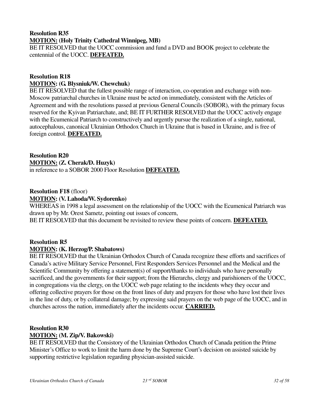#### **Resolution R35 MOTION: (Holy Trinity Cathedral Winnipeg, MB)**

BE IT RESOLVED that the UOCC commission and fund a DVD and BOOK project to celebrate the centennial of the UOCC. **DEFEATED.**

#### **Resolution R18 MOTION: (G. Blysniuk/W. Chewchuk)**

BE IT RESOLVED that the fullest possible range of interaction, co-operation and exchange with non-Moscow patriarchal churches in Ukraine must be acted on immediately, consistent with the Articles of Agreement and with the resolutions passed at previous General Councils (SOBOR), with the primary focus reserved for the Kyivan Patriarchate, and; BE IT FURTHER RESOLVED that the UOCC actively engage with the Ecumenical Patriarch to constructively and urgently pursue the realization of a single, national, autocephalous, canonical Ukrainian Orthodox Church in Ukraine that is based in Ukraine, and is free of foreign control. **DEFEATED.**

### **Resolution R20**

**MOTION: (Z. Cherak/D. Huzyk)** 

in reference to a SOBOR 2000 Floor Resolution **DEFEATED.**

#### **Resolution F18** (floor) **MOTION: (V. Lahoda/W. Sydorenko)**

WHEREAS in 1998 a legal assessment on the relationship of the UOCC with the Ecumenical Patriarch was drawn up by Mr. Orest Sametz, pointing out issues of concern,

BE IT RESOLVED that this document be revisited to review these points of concern. **DEFEATED.**

### **Resolution R5**

#### **MOTION: (K. Herzog/P. Shabatows)**

BE IT RESOLVED that the Ukrainian Orthodox Church of Canada recognize these efforts and sacrifices of Canada's active Military Service Personnel, First Responders Services Personnel and the Medical and the Scientific Community by offering a statement(s) of support/thanks to individuals who have personally sacrificed, and the governments for their support; from the Hierarchs, clergy and parishioners of the UOCC, in congregations via the clergy, on the UOCC web page relating to the incidents whey they occur and offering collective prayers for those on the front lines of duty and prayers for those who have lost their lives in the line of duty, or by collateral damage; by expressing said prayers on the web page of the UOCC, and in churches across the nation, immediately after the incidents occur. **CARRIED.**

#### **Resolution R30**

#### **MOTION: (M. Zip/V. Bakowski)**

BE IT RESOLVED that the Consistory of the Ukrainian Orthodox Church of Canada petition the Prime Minister's Office to work to limit the harm done by the Supreme Court's decision on assisted suicide by supporting restrictive legislation regarding physician-assisted suicide.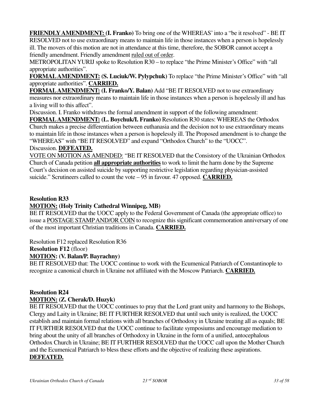**FRIENDLY AMENDMENT: (I. Franko)** To bring one of the WHEREAS' into a "be it resolved" - BE IT RESOLVED not to use extraordinary means to maintain life in those instances when a person is hopelessly ill. The movers of this motion are not in attendance at this time, therefore, the SOBOR cannot accept a friendly amendment. Friendly amendment ruled out of order.

METROPOLITAN YURIJ spoke to Resolution R30 – to replace "the Prime Minister's Office" with "all appropriate authorities".

**FORMAL AMENDMENT: (S. Luciuk/W. Pylypchuk)** To replace "the Prime Minister's Office" with "all appropriate authorities". **CARRIED.**

**FORMAL AMENDMENT: (I. Franko/Y. Balan)** Add "BE IT RESOLVED not to use extraordinary measures nor extraordinary means to maintain life in those instances when a person is hopelessly ill and has a living will to this affect".

Discussion. I. Franko withdraws the formal amendment in support of the following amendment:

**FORMAL AMENDMENT: (L. Boychuk/I. Franko)** Resolution R30 states: WHEREAS the Orthodox Church makes a precise differentiation between euthanasia and the decision not to use extraordinary means to maintain life in those instances when a person is hopelessly ill. The Proposed amendment is to change the "WHEREAS" with "BE IT RESOLVED" and expand "Orthodox Church" to the "UOCC".

#### Discussion. **DEFEATED.**

VOTE ON MOTION AS AMENDED: "BE IT RESOLVED that the Consistory of the Ukrainian Orthodox Church of Canada petition **all appropriate authorities** to work to limit the harm done by the Supreme Court's decision on assisted suicide by supporting restrictive legislation regarding physician-assisted suicide." Scrutineers called to count the vote – 95 in favour. 47 opposed. **CARRIED.**

### **Resolution R33**

### **MOTION: (Holy Trinity Cathedral Winnipeg, MB)**

BE IT RESOLVED that the UOCC apply to the Federal Government of Canada (the appropriate office) to issue a POSTAGE STAMP AND/OR COIN to recognize this significant commemoration anniversary of one of the most important Christian traditions in Canada. **CARRIED.**

Resolution F12 replaced Resolution R36

### **Resolution F12** (floor)

### **MOTION: (V. Balan/P. Bayrachny)**

BE IT RESOLVED that: The UOCC continue to work with the Ecumenical Patriarch of Constantinople to recognize a canonical church in Ukraine not affiliated with the Moscow Patriarch. **CARRIED.**

#### **Resolution R24**

#### **MOTION: (Z. Cherak/D. Huzyk)**

BE IT RESOLVED that the UOCC continues to pray that the Lord grant unity and harmony to the Bishops, Clergy and Laity in Ukraine; BE IT FURTHER RESOLVED that until such unity is realized, the UOCC establish and maintain formal relations with all branches of Orthodoxy in Ukraine treating all as equals; BE IT FURTHER RESOLVED that the UOCC continue to facilitate symposiums and encourage mediation to bring about the unity of all branches of Orthodoxy in Ukraine in the form of a unified, antocephalous Orthodox Church in Ukraine; BE IT FURTHER RESOLVED that the UOCC call upon the Mother Church and the Ecumenical Patriarch to bless these efforts and the objective of realizing these aspirations. **DEFEATED.**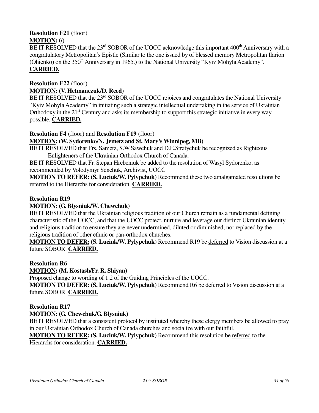### **Resolution F21** (floor) **MOTION: (/)**

BE IT RESOLVED that the 23<sup>rd</sup> SOBOR of the UOCC acknowledge this important 400<sup>th</sup> Anniversary with a congratulatory Metropolitan's Epistle (Similar to the one issued by of blessed memory Metropolitan Ilarion (Ohienko) on the 350<sup>th</sup> Anniversary in 1965.) to the National University "Kyiv Mohyla Academy". **CARRIED.**

#### **Resolution F22** (floor) **MOTION: (V. Hetmanczuk/D. Reed)**

BE IT RESOLVED that the 23<sup>rd</sup> SOBOR of the UOCC rejoices and congratulates the National University "Kyiv Mohyla Academy" in initiating such a strategic intellectual undertaking in the service of Ukrainian Orthodoxy in the  $21<sup>st</sup>$  Century and asks its membership to support this strategic initiative in every way possible. **CARRIED.**

#### **Resolution F4** (floor) and **Resolution F19** (floor)

#### **MOTION: (W. Sydorenko/N. Jemetz and St. Mary's Winnipeg, MB)**

BE IT RESOLVED that Frs. Sametz, S.W.Sawchuk and D.E.Stratychuk be recognized as Righteous Enlighteners of the Ukrainian Orthodox Church of Canada.

BE IT RESOLVED that Fr. Stepan Hrebeniuk be added to the resolution of Wasyl Sydorenko, as recommended by Volodymyr Senchuk, Archivist, UOCC

**MOTION TO REFER: (S. Luciuk/W. Pylypchuk)** Recommend these two amalgamated resolutions be referred to the Hierarchs for consideration. **CARRIED.**

#### **Resolution R19**

#### **MOTION: (G. Blysniuk/W. Chewchuk)**

BE IT RESOLVED that the Ukrainian religious tradition of our Church remain as a fundamental defining characteristic of the UOCC, and that the UOCC protect, nurture and leverage our distinct Ukrainian identity and religious tradition to ensure they are never undermined, diluted or diminished, nor replaced by the religious tradition of other ethnic or pan-orthodox churches.

**MOTION TO DEFER: (S. Luciuk/W. Pylypchuk)** Recommend R19 be deferred to Vision discussion at a future SOBOR. **CARRIED.**

#### **Resolution R6**

#### **MOTION: (M. Kostash/Fr. R. Shiyan)**

Proposed change to wording of 1.2 of the Guiding Principles of the UOCC.

**MOTION TO DEFER: (S. Luciuk/W. Pylypchuk)** Recommend R6 be deferred to Vision discussion at a future SOBOR. **CARRIED.**

#### **Resolution R17**

#### **MOTION: (G. Chewchuk/G. Blysniuk)**

BE IT RESOLVED that a consistent protocol by instituted whereby these clergy members be allowed to pray in our Ukrainian Orthodox Church of Canada churches and socialize with our faithful.

#### **MOTION TO REFER: (S. Luciuk/W. Pylypchuk)** Recommend this resolution be referred to the Hierarchs for consideration. **CARRIED.**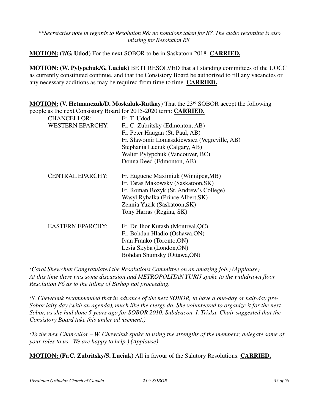*\*\*Secretaries note in regards to Resolution R8: no notations taken for R8. The audio recording is also missing for Resolution R8.* 

**MOTION: (?/G. Udod)** For the next SOBOR to be in Saskatoon 2018. **CARRIED.**

**MOTION: (W. Pylypchuk/G. Luciuk)** BE IT RESOLVED that all standing committees of the UOCC as currently constituted continue, and that the Consistory Board be authorized to fill any vacancies or any necessary additions as may be required from time to time. **CARRIED.**

**MOTION: (V. Hetmanczuk/D. Moskaluk-Rutkay)** That the 23<sup>rd</sup> SOBOR accept the following people as the next Consistory Board for 2015-2020 term: **CARRIED.** CHANCELLOR: Fr. T. Udod WESTERN EPARCHY: Fr. C. Zubritsky (Edmonton, AB)

|                         | Fr. Peter Haugan (St. Paul, AB)              |
|-------------------------|----------------------------------------------|
|                         | Fr. Slawomir Lomaszkiewsicz (Vegreville, AB) |
|                         | Stephania Luciuk (Calgary, AB)               |
|                         | Walter Pylypchuk (Vancouver, BC)             |
|                         | Donna Reed (Edmonton, AB)                    |
| <b>CENTRAL EPARCHY:</b> | Fr. Euguene Maximiuk (Winnipeg, MB)          |
|                         | Fr. Taras Makowsky (Saskatoon, SK)           |
|                         | Fr. Roman Bozyk (St. Andrew's College)       |
|                         | Wasyl Rybalka (Prince Albert, SK)            |
|                         | Zennia Yuzik (Saskatoon, SK)                 |
|                         | Tony Harras (Regina, SK)                     |
| <b>EASTERN EPARCHY:</b> | Fr. Dr. Ihor Kutash (Montreal, QC)           |
|                         | Fr. Bohdan Hladio (Oshawa, ON)               |
|                         | Ivan Franko (Toronto, ON)                    |
|                         | Lesia Skyba (London, ON)                     |
|                         | Bohdan Shumsky (Ottawa,ON)                   |

*(Carol Shewchuk Congratulated the Resolutions Committee on an amazing job.) (Applause) At this time there was some discussion and METROPOLITAN YURIJ spoke to the withdrawn floor Resolution F6 as to the titling of Bishop not proceeding.* 

*(S. Chewchuk recommended that in advance of the next SOBOR, to have a one-day or half-day pre-Sobor laity day (with an agenda), much like the clergy do. She volunteered to organize it for the next Sobor, as she had done 5 years ago for SOBOR 2010. Subdeacon, I. Triska, Chair suggested that the Consistory Board take this under advisement.)* 

*(To the new Chancellor – W. Chewchuk spoke to using the strengths of the members; delegate some of your roles to us. We are happy to help.) (Applause)* 

**MOTION: (Fr.C. Zubritsky/S. Luciuk)** All in favour of the Salutory Resolutions. **CARRIED.**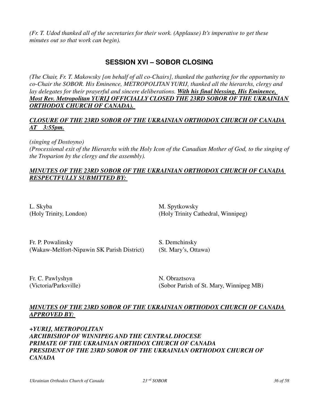*(Fr. T. Udod thanked all of the secretaries for their work. (Applause) It's imperative to get these minutes out so that work can begin).* 

# **SESSION XVI – SOBOR CLOSING**

*(The Chair, Fr. T. Makowsky [on behalf of all co-Chairs], thanked the gathering for the opportunity to co-Chair the SOBOR. His Eminence, METROPOLITAN YURIJ, thanked all the hierarchs, clergy and lay delegates for their prayerful and sincere deliberations. With his final blessing, His Eminence, Most Rev. Metropolitan YURIJ OFFICIALLY CLOSED THE 23RD SOBOR OF THE UKRAINIAN ORTHODOX CHURCH OF CANADA).* 

#### *CLOSURE OF THE 23RD SOBOR OF THE UKRAINIAN ORTHODOX CHURCH OF CANADA AT 3:55pm.*

*(singing of Dostoyno)*

*(Processional exit of the Hierarchs with the Holy Icon of the Canadian Mother of God, to the singing of the Troparion by the clergy and the assembly).* 

#### *MINUTES OF THE 23RD SOBOR OF THE UKRAINIAN ORTHODOX CHURCH OF CANADA RESPECTFULLY SUBMITTED BY:*

L. Skyba M. Spytkowsky

(Holy Trinity, London) (Holy Trinity Cathedral, Winnipeg)

Fr. P. Powalinsky S. Demchinsky (Wakaw-Melfort-Nipawin SK Parish District) (St. Mary's, Ottawa)

Fr. C. Pawlyshyn N. Obraztsova

(Victoria/Parksville) (Sobor Parish of St. Mary, Winnipeg MB)

### *MINUTES OF THE 23RD SOBOR OF THE UKRAINIAN ORTHODOX CHURCH OF CANADA APPROVED BY:*

*+YURIJ, METROPOLITAN ARCHBISHOP OF WINNIPEG AND THE CENTRAL DIOCESE PRIMATE OF THE UKRAINIAN ORTHDOX CHURCH OF CANADA* **PRESIDENT OF THE 23RD SOBOR OF THE UKRAINIAN ORTHODOX CHURCH OF** *CANADA*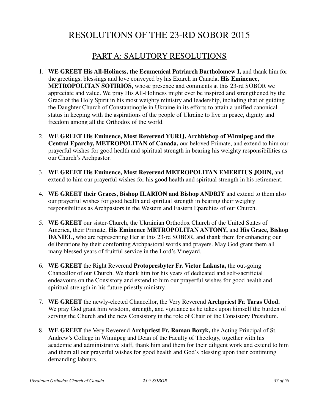# RESOLUTIONS OF THE 23-RD SOBOR 2015

# PART A: SALUTORY RESOLUTIONS

- 1. **WE GREET His All-Holiness, the Ecumenical Patriarch Bartholomew I,** and thank him for the greetings, blessings and love conveyed by his Exarch in Canada, **His Eminence, METROPOLITAN SOTIRIOS,** whose presence and comments at this 23-rd SOBOR we appreciate and value. We pray His All-Holiness might ever be inspired and strengthened by the Grace of the Holy Spirit in his most weighty ministry and leadership, including that of guiding the Daughter Church of Constantinople in Ukraine in its efforts to attain a unified canonical status in keeping with the aspirations of the people of Ukraine to live in peace, dignity and freedom among all the Orthodox of the world.
- 2. **WE GREET His Eminence, Most Reverend YURIJ, Archbishop of Winnipeg and the Central Eparchy, METROPOLITAN of Canada,** our beloved Primate, and extend to him our prayerful wishes for good health and spiritual strength in bearing his weighty responsibilities as our Church's Archpastor.
- 3. **WE GREET His Eminence, Most Reverend METROPOLITAN EMERITUS JOHN,** and extend to him our prayerful wishes for his good health and spiritual strength in his retirement.
- 4. **WE GREET their Graces, Bishop ILARION and Bishop ANDRIY** and extend to them also our prayerful wishes for good health and spiritual strength in bearing their weighty responsibilities as Archpastors in the Western and Eastern Eparchies of our Church.
- 5. **WE GREET** our sister-Church, the Ukrainian Orthodox Church of the United States of America, their Primate, **His Eminence METROPOLITAN ANTONY,** and **His Grace, Bishop DANIEL**, who are representing Her at this 23-rd SOBOR, and thank them for enhancing our deliberations by their comforting Archpastoral words and prayers. May God grant them all many blessed years of fruitful service in the Lord's Vineyard.
- 6. **WE GREET** the Right Reverend **Protopresbyter Fr. Victor Lakusta,** the out-going Chancellor of our Church. We thank him for his years of dedicated and self-sacrificial endeavours on the Consistory and extend to him our prayerful wishes for good health and spiritual strength in his future priestly ministry.
- 7. **WE GREET** the newly-elected Chancellor, the Very Reverend **Archpriest Fr. Taras Udod.** We pray God grant him wisdom, strength, and vigilance as he takes upon himself the burden of serving the Church and the new Consistory in the role of Chair of the Consistory Presidium.
- 8. **WE GREET** the Very Reverend **Archpriest Fr. Roman Bozyk,** the Acting Principal of St. Andrew's College in Winnipeg and Dean of the Faculty of Theology, together with his academic and administrative staff, thank him and them for their diligent work and extend to him and them all our prayerful wishes for good health and God's blessing upon their continuing demanding labours.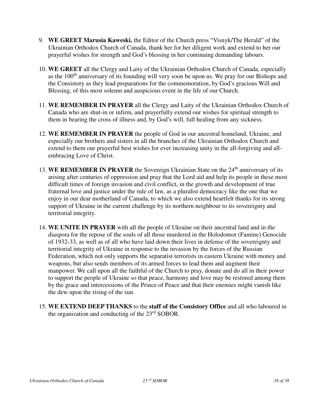- 9. **WE GREET Marusia Kaweski,** the Editor of the Church press "Visnyk/The Herald" of the Ukrainian Orthodox Church of Canada, thank her for her diligent work and extend to her our prayerful wishes for strength and God's blessing in her continuing demanding labours.
- 10. **WE GREET** all the Clergy and Laity of the Ukrainian Orthodox Church of Canada, especially as the 100<sup>th</sup> anniversary of its founding will very soon be upon us. We pray for our Bishops and the Consistory as they lead preparations for the commemoration, by God's gracious Will and Blessing, of this most solemn and auspicious event in the life of our Church.
- 11. **WE REMEMBER IN PRAYER** all the Clergy and Laity of the Ukrainian Orthodox Church of Canada who are shut-in or infirm, and prayerfully extend our wishes for spiritual strength to them in bearing the cross of illness and, by God's will, full healing from any sickness.
- 12. **WE REMEMBER IN PRAYER** the people of God in our ancestral homeland, Ukraine, and especially our brothers and sisters in all the branches of the Ukrainian Orthodox Church and extend to them our prayerful best wishes for ever increasing unity in the all-forgiving and allembracing Love of Christ.
- 13. WE REMEMBER IN PRAYER the Sovereign Ukrainian State on the 24<sup>th</sup> anniversary of its arising after centuries of oppression and pray that the Lord aid and help its people in these most difficult times of foreign invasion and civil conflict, in the growth and development of true fraternal love and justice under the rule of law, as a pluralist democracy like the one that we enjoy in our dear motherland of Canada, to which we also extend heartfelt thanks for its strong support of Ukraine in the current challenge by its northern neighbour to its sovereignty and territorial integrity.
- 14. **WE UNITE IN PRAYER** with all the people of Ukraine on their ancestral land and in the diaspora for the repose of the souls of all those murdered in the Holodomor (Famine) Genocide of 1932-33, as well as of all who have laid down their lives in defense of the sovereignty and territorial integrity of Ukraine in response to the invasion by the forces of the Russian Federation, which not only supports the separatist terrorists in eastern Ukraine with money and weapons, but also sends members of its armed forces to lead them and augment their manpower. We call upon all the faithful of the Church to pray, donate and do all in their power to support the people of Ukraine so that peace, harmony and love may be restored among them by the grace and intercessions of the Prince of Peace and that their enemies might vanish like the dew upon the rising of the sun.
- 15. **WE EXTEND DEEP THANKS** to the **staff of the Consistory Office** and all who laboured in the organization and conducting of the 23rd SOBOR.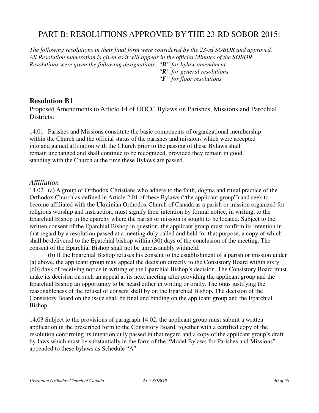# PART B: RESOLUTIONS APPROVED BY THE 23-RD SOBOR 2015:

*The following resolutions in their final form were considered by the 23-rd SOBOR and approved. All Resolution numeration is given as it will appear in the official Minutes of the SOBOR. Resolutions were given the following designations: "B" for bylaw amendment "R" for general resolutions "F" for floor resolutions* 

### **Resolution B1**

Proposed Amendments to Article 14 of UOCC Bylaws on Parishes, Missions and Parochial Districts:

14.01 Parishes and Missions constitute the basic components of organizational membership within the Church and the official status of the parishes and missions which were accepted into and gained affiliation with the Church prior to the passing of these Bylaws shall remain unchanged and shall continue to be recognized, provided they remain in good standing with the Church at the time these Bylaws are passed.

### *Affiliation*

14.02 (a) A group of Orthodox Christians who adhere to the faith, dogma and ritual practice of the Orthodox Church as defined in Article 2.01 of these Bylaws ("the applicant group") and seek to become affiliated with the Ukrainian Orthodox Church of Canada as a parish or mission organized for religious worship and instruction, must signify their intention by formal notice, in writing, to the Eparchial Bishop in the eparchy where the parish or mission is sought to be located. Subject to the written consent of the Eparchial Bishop in question, the applicant group must confirm its intention in that regard by a resolution passed at a meeting duly called and held for that purpose, a copy of which shall be delivered to the Eparchial bishop within (30) days of the conclusion of the meeting. The consent of the Eparchial Bishop shall not be unreasonably withheld.

 (b) If the Eparchial Bishop refuses his consent to the establishment of a parish or mission under (a) above, the applicant group may appeal the decision directly to the Consistory Board within sixty (60) days of receiving notice in writing of the Eparchial Bishop's decision. The Consistory Board must make its decision on such an appeal at its next meeting after providing the applicant group and the Eparchial Bishop an opportunity to be heard either in writing or orally. The onus justifying the reasonableness of the refusal of consent shall by on the Eparchial Bishop. The decision of the Consistory Board on the issue shall be final and binding on the applicant group and the Eparchial Bishop.

14.03 Subject to the provisions of paragraph 14.02, the applicant group must submit a written application in the prescribed form to the Consistory Board, together with a certified copy of the resolution confirming its intention duly passed in that regard and a copy of the applicant group's draft by-laws which must be substantially in the form of the "Model Bylaws for Parishes and Missions" appended to these bylaws as Schedule "A".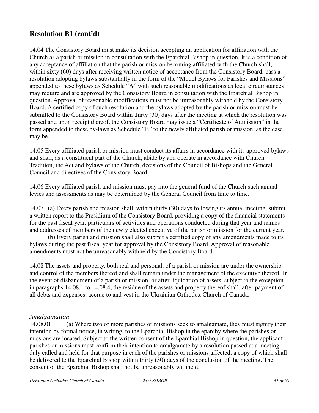14.04 The Consistory Board must make its decision accepting an application for affiliation with the Church as a parish or mission in consultation with the Eparchial Bishop in question. It is a condition of any acceptance of affiliation that the parish or mission becoming affiliated with the Church shall, within sixty (60) days after receiving written notice of acceptance from the Consistory Board, pass a resolution adopting bylaws substantially in the form of the "Model Bylaws for Parishes and Missions" appended to these bylaws as Schedule "A" with such reasonable modifications as local circumstances may require and are approved by the Consistory Board in consultation with the Eparchial Bishop in question. Approval of reasonable modifications must not be unreasonably withheld by the Consistory Board. A certified copy of such resolution and the bylaws adopted by the parish or mission must be submitted to the Consistory Board within thirty (30) days after the meeting at which the resolution was passed and upon receipt thereof, the Consistory Board may issue a "Certificate of Admission" in the form appended to these by-laws as Schedule "B" to the newly affiliated parish or mission, as the case may be.

14.05 Every affiliated parish or mission must conduct its affairs in accordance with its approved bylaws and shall, as a constituent part of the Church, abide by and operate in accordance with Church Tradition, the Act and bylaws of the Church, decisions of the Council of Bishops and the General Council and directives of the Consistory Board.

14.06 Every affiliated parish and mission must pay into the general fund of the Church such annual levies and assessments as may be determined by the General Council from time to time.

14.07 (a) Every parish and mission shall, within thirty (30) days following its annual meeting, submit a written report to the Presidium of the Consistory Board, providing a copy of the financial statements for the past fiscal year, particulars of activities and operations conducted during that year and names and addresses of members of the newly elected executive of the parish or mission for the current year.

 (b) Every parish and mission shall also submit a certified copy of any amendments made to its bylaws during the past fiscal year for approval by the Consistory Board. Approval of reasonable amendments must not be unreasonably withheld by the Consistory Board.

14.08 The assets and property, both real and personal, of a parish or mission are under the ownership and control of the members thereof and shall remain under the management of the executive thereof. In the event of disbandment of a parish or mission, or after liquidation of assets, subject to the exception in paragraphs 14.08.1 to 14.08.4, the residue of the assets and property thereof shall, after payment of all debts and expenses, accrue to and vest in the Ukrainian Orthodox Church of Canada.

#### *Amalgamation*

14.08.01 (a) Where two or more parishes or missions seek to amalgamate, they must signify their intention by formal notice, in writing, to the Eparchial Bishop in the eparchy where the parishes or missions are located. Subject to the written consent of the Eparchial Bishop in question, the applicant parishes or missions must confirm their intention to amalgamate by a resolution passed at a meeting duly called and held for that purpose in each of the parishes or missions affected, a copy of which shall be delivered to the Eparchial Bishop within thirty (30) days of the conclusion of the meeting. The consent of the Eparchial Bishop shall not be unreasonably withheld.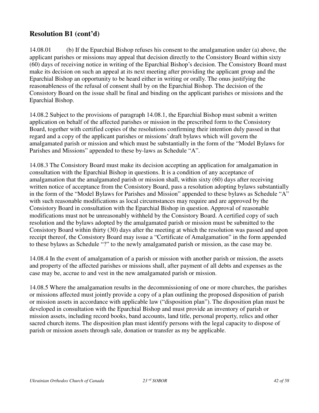14.08.01 (b) If the Eparchial Bishop refuses his consent to the amalgamation under (a) above, the applicant parishes or missions may appeal that decision directly to the Consistory Board within sixty (60) days of receiving notice in writing of the Eparchial Bishop's decision. The Consistory Board must make its decision on such an appeal at its next meeting after providing the applicant group and the Eparchial Bishop an opportunity to be heard either in writing or orally. The onus justifying the reasonableness of the refusal of consent shall by on the Eparchial Bishop. The decision of the Consistory Board on the issue shall be final and binding on the applicant parishes or missions and the Eparchial Bishop.

14.08.2 Subject to the provisions of paragraph 14.08.1, the Eparchial Bishop must submit a written application on behalf of the affected parishes or mission in the prescribed form to the Consistory Board, together with certified copies of the resolutions confirming their intention duly passed in that regard and a copy of the applicant parishes or missions' draft bylaws which will govern the amalgamated parish or mission and which must be substantially in the form of the "Model Bylaws for Parishes and Missions" appended to these by-laws as Schedule "A".

14.08.3 The Consistory Board must make its decision accepting an application for amalgamation in consultation with the Eparchial Bishop in questions. It is a condition of any acceptance of amalgamation that the amalgamated parish or mission shall, within sixty (60) days after receiving written notice of acceptance from the Consistory Board, pass a resolution adopting bylaws substantially in the form of the "Model Bylaws for Parishes and Mission" appended to these bylaws as Schedule "A" with such reasonable modifications as local circumstances may require and are approved by the Consistory Board in consultation with the Eparchial Bishop in question. Approval of reasonable modifications must not be unreasonably withheld by the Consistory Board. A certified copy of such resolution and the bylaws adopted by the amalgamated parish or mission must be submitted to the Consistory Board within thirty (30) days after the meeting at which the resolution was passed and upon receipt thereof, the Consistory Board may issue a "Certificate of Amalgamation" in the form appended to these bylaws as Schedule "?" to the newly amalgamated parish or mission, as the case may be.

14.08.4 In the event of amalgamation of a parish or mission with another parish or mission, the assets and property of the affected parishes or missions shall, after payment of all debts and expenses as the case may be, accrue to and vest in the new amalgamated parish or mission.

14.08.5 Where the amalgamation results in the decommissioning of one or more churches, the parishes or missions affected must jointly provide a copy of a plan outlining the proposed disposition of parish or mission assets in accordance with applicable law ("disposition plan"). The disposition plan must be developed in consultation with the Eparchial Bishop and must provide an inventory of parish or mission assets, including record books, band accounts, land title, personal property, relics and other sacred church items. The disposition plan must identify persons with the legal capacity to dispose of parish or mission assets through sale, donation or transfer as my be applicable.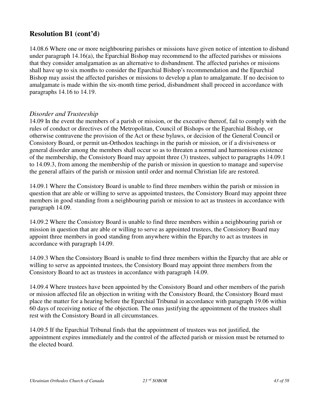14.08.6 Where one or more neighbouring parishes or missions have given notice of intention to disband under paragraph 14.16(a), the Eparchial Bishop may recommend to the affected parishes or missions that they consider amalgamation as an alternative to disbandment. The affected parishes or missions shall have up to six months to consider the Eparchial Bishop's recommendation and the Eparchial Bishop may assist the affected parishes or missions to develop a plan to amalgamate. If no decision to amalgamate is made within the six-month time period, disbandment shall proceed in accordance with paragraphs 14.16 to 14.19.

#### *Disorder and Trusteeship*

14.09 In the event the members of a parish or mission, or the executive thereof, fail to comply with the rules of conduct or directives of the Metropolitan, Council of Bishops or the Eparchial Bishop, or otherwise contravene the provision of the Act or these bylaws, or decision of the General Council or Consistory Board, or permit un-Orthodox teachings in the parish or mission, or if a divisiveness or general disorder among the members shall occur so as to threaten a normal and harmonious existence of the membership, the Consistory Board may appoint three (3) trustees, subject to paragraphs 14.09.1 to 14.09.3, from among the membership of the parish or mission in question to manage and supervise the general affairs of the parish or mission until order and normal Christian life are restored.

14.09.1 Where the Consistory Board is unable to find three members within the parish or mission in question that are able or willing to serve as appointed trustees, the Consistory Board may appoint three members in good standing from a neighbouring parish or mission to act as trustees in accordance with paragraph 14.09.

14.09.2 Where the Consistory Board is unable to find three members within a neighbouring parish or mission in question that are able or willing to serve as appointed trustees, the Consistory Board may appoint three members in good standing from anywhere within the Eparchy to act as trustees in accordance with paragraph 14.09.

14.09.3 When the Consistory Board is unable to find three members within the Eparchy that are able or willing to serve as appointed trustees, the Consistory Board may appoint three members from the Consistory Board to act as trustees in accordance with paragraph 14.09.

14.09.4 Where trustees have been appointed by the Consistory Board and other members of the parish or mission affected file an objection in writing with the Consistory Board, the Consistory Board must place the matter for a hearing before the Eparchial Tribunal in accordance with paragraph 19.06 within 60 days of receiving notice of the objection. The onus justifying the appointment of the trustees shall rest with the Consistory Board in all circumstances.

14.09.5 If the Eparchial Tribunal finds that the appointment of trustees was not justified, the appointment expires immediately and the control of the affected parish or mission must be returned to the elected board.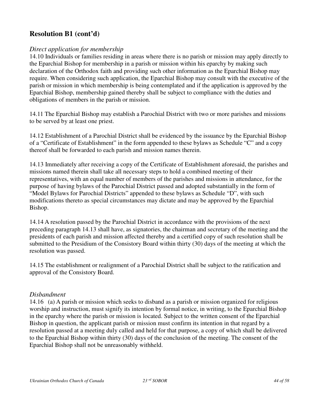### *Direct application for membership*

14.10 Individuals or families residing in areas where there is no parish or mission may apply directly to the Eparchial Bishop for membership in a parish or mission within his eparchy by making such declaration of the Orthodox faith and providing such other information as the Eparchial Bishop may require. When considering such application, the Eparchial Bishop may consult with the executive of the parish or mission in which membership is being contemplated and if the application is approved by the Eparchial Bishop, membership gained thereby shall be subject to compliance with the duties and obligations of members in the parish or mission.

14.11 The Eparchial Bishop may establish a Parochial District with two or more parishes and missions to be served by at least one priest.

14.12 Establishment of a Parochial District shall be evidenced by the issuance by the Eparchial Bishop of a "Certificate of Establishment" in the form appended to these bylaws as Schedule "C" and a copy thereof shall be forwarded to each parish and mission names therein.

14.13 Immediately after receiving a copy of the Certificate of Establishment aforesaid, the parishes and missions named therein shall take all necessary steps to hold a combined meeting of their representatives, with an equal number of members of the parishes and missions in attendance, for the purpose of having bylaws of the Parochial District passed and adopted substantially in the form of "Model Bylaws for Parochial Districts" appended to these bylaws as Schedule "D", with such modifications thereto as special circumstances may dictate and may be approved by the Eparchial Bishop.

14.14 A resolution passed by the Parochial District in accordance with the provisions of the next preceding paragraph 14.13 shall have, as signatories, the chairman and secretary of the meeting and the presidents of each parish and mission affected thereby and a certified copy of such resolution shall be submitted to the Presidium of the Consistory Board within thirty (30) days of the meeting at which the resolution was passed.

14.15 The establishment or realignment of a Parochial District shall be subject to the ratification and approval of the Consistory Board.

#### *Disbandment*

14.16 (a) A parish or mission which seeks to disband as a parish or mission organized for religious worship and instruction, must signify its intention by formal notice, in writing, to the Eparchial Bishop in the eparchy where the parish or mission is located. Subject to the written consent of the Eparchial Bishop in question, the applicant parish or mission must confirm its intention in that regard by a resolution passed at a meeting duly called and held for that purpose, a copy of which shall be delivered to the Eparchial Bishop within thirty (30) days of the conclusion of the meeting. The consent of the Eparchial Bishop shall not be unreasonably withheld.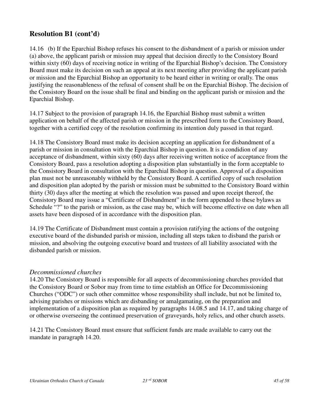14.16 (b) If the Eparchial Bishop refuses his consent to the disbandment of a parish or mission under (a) above, the applicant parish or mission may appeal that decision directly to the Consistory Board within sixty (60) days of receiving notice in writing of the Eparchial Bishop's decision. The Consistory Board must make its decision on such an appeal at its next meeting after providing the applicant parish or mission and the Eparchial Bishop an opportunity to be heard either in writing or orally. The onus justifying the reasonableness of the refusal of consent shall be on the Eparchial Bishop. The decision of the Consistory Board on the issue shall be final and binding on the applicant parish or mission and the Eparchial Bishop.

14.17 Subject to the provision of paragraph 14.16, the Eparchial Bishop must submit a written application on behalf of the affected parish or mission in the prescribed form to the Consistory Board, together with a certified copy of the resolution confirming its intention duly passed in that regard.

14.18 The Consistory Board must make its decision accepting an application for disbandment of a parish or mission in consultation with the Eparchial Bishop in question. It is a condidion of any acceptance of disbandment, within sixty (60) days after receiving written notice of acceptance from the Consistory Board, pass a resolution adopting a disposition plan substantially in the form acceptable to the Consistory Board in consultation with the Eparchial Bishop in question. Approval of a disposition plan must not be unreasonably withheld by the Consistory Board. A certified copy of such resolution and disposition plan adopted by the parish or mission must be submitted to the Consistory Board within thirty (30) days after the meeting at which the resolution was passed and upon receipt thereof, the Consistory Board may issue a "Certificate of Disbandment" in the form appended to these bylaws as Schedule "?" to the parish or mission, as the case may be, which will become effective on date when all assets have been disposed of in accordance with the disposition plan.

14.19 The Certificate of Disbandment must contain a provision ratifying the actions of the outgoing executive board of the disbanded parish or mission, including all steps taken to disband the parish or mission, and absolving the outgoing executive board and trustees of all liability associated with the disbanded parish or mission.

#### *Decommissioned churches*

14.20 The Consistory Board is responsible for all aspects of decommissioning churches provided that the Consistory Board or Sobor may from time to time establish an Office for Decommissioning Churches ("ODC") or such other committee whose responsibility shall include, but not be limited to, advising parishes or missions which are disbanding or amalgamating, on the preparation and implementation of a disposition plan as required by paragraphs 14.08.5 and 14.17, and taking charge of or otherwise overseeing the continued preservation of graveyards, holy relics, and other church assets.

14.21 The Consistory Board must ensure that sufficient funds are made available to carry out the mandate in paragraph 14.20.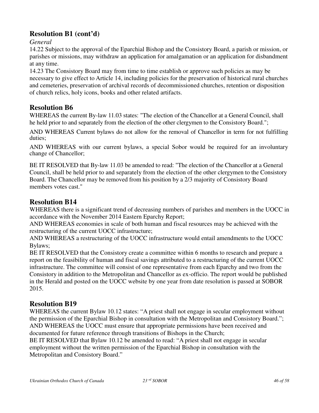*General*

14.22 Subject to the approval of the Eparchial Bishop and the Consistory Board, a parish or mission, or parishes or missions, may withdraw an application for amalgamation or an application for disbandment at any time.

14.23 The Consistory Board may from time to time establish or approve such policies as may be necessary to give effect to Article 14, including policies for the preservation of historical rural churches and cemeteries, preservation of archival records of decommissioned churches, retention or disposition of church relics, holy icons, books and other related artifacts.

### **Resolution B6**

WHEREAS the current By-law 11.03 states: "The election of the Chancellor at a General Council, shall he held prior to and separately from the election of the other clergymen to the Consistory Board.";

AND WHEREAS Current bylaws do not allow for the removal of Chancellor in term for not fulfilling duties;

AND WHEREAS with our current bylaws, a special Sobor would be required for an involuntary change of Chancellor;

BE IT RESOLVED that By-law 11.03 be amended to read: "The election of the Chancellor at a General Council, shall be held prior to and separately from the election of the other clergymen to the Consistory Board. The Chancellor may be removed from his position by a 2/3 majority of Consistory Board members votes cast."

# **Resolution B14**

WHEREAS there is a significant trend of decreasing numbers of parishes and members in the UOCC in accordance with the November 2014 Eastern Eparchy Report;

AND WHEREAS economies in scale of both human and fiscal resources may be achieved with the restructuring of the current UOCC infrastructure;

AND WHEREAS a restructuring of the UOCC infrastructure would entail amendments to the UOCC Bylaws;

BE IT RESOLVED that the Consistory create a committee within 6 months to research and prepare a report on the feasibility of human and fiscal savings attributed to a restructuring of the current UOCC infrastructure. The committee will consist of one representative from each Eparchy and two from the Consistory in addition to the Metropolitan and Chancellor as ex-officio. The report would be published in the Herald and posted on the UOCC website by one year from date resolution is passed at SOBOR 2015.

### **Resolution B19**

WHEREAS the current Bylaw 10.12 states: "A priest shall not engage in secular employment without the permission of the Eparchial Bishop in consultation with the Metropolitan and Consistory Board."; AND WHEREAS the UOCC must ensure that appropriate permissions have been received and documented for future reference through transitions of Bishops in the Church;

BE IT RESOLVED that Bylaw 10.12 be amended to read: "A priest shall not engage in secular employment without the written permission of the Eparchial Bishop in consultation with the Metropolitan and Consistory Board."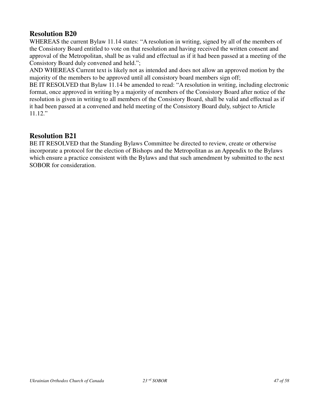WHEREAS the current Bylaw 11.14 states: "A resolution in writing, signed by all of the members of the Consistory Board entitled to vote on that resolution and having received the written consent and approval of the Metropolitan, shall be as valid and effectual as if it had been passed at a meeting of the Consistory Board duly convened and held.";

AND WHEREAS Current text is likely not as intended and does not allow an approved motion by the majority of the members to be approved until all consistory board members sign off;

BE IT RESOLVED that Bylaw 11.14 be amended to read: "A resolution in writing, including electronic format, once approved in writing by a majority of members of the Consistory Board after notice of the resolution is given in writing to all members of the Consistory Board, shall be valid and effectual as if it had been passed at a convened and held meeting of the Consistory Board duly, subject to Article 11.12."

### **Resolution B21**

BE IT RESOLVED that the Standing Bylaws Committee be directed to review, create or otherwise incorporate a protocol for the election of Bishops and the Metropolitan as an Appendix to the Bylaws which ensure a practice consistent with the Bylaws and that such amendment by submitted to the next SOBOR for consideration.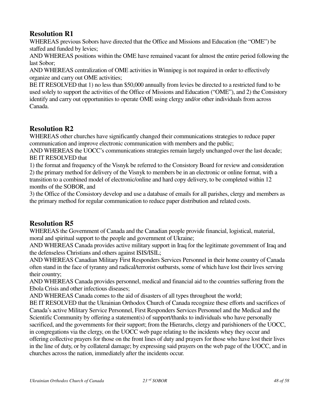WHEREAS previous Sobors have directed that the Office and Missions and Education (the "OME") be staffed and funded by levies;

AND WHEREAS positions within the OME have remained vacant for almost the entire period following the last Sobor;

AND WHEREAS centralization of OME activities in Winnipeg is not required in order to effectively organize and carry out OME activities;

BE IT RESOLVED that 1) no less than \$50,000 annually from levies be directed to a restricted fund to be used solely to support the activities of the Office of Missions and Education ("OME"), and 2) the Consistory identify and carry out opportunities to operate OME using clergy and/or other individuals from across Canada.

# **Resolution R2**

WHEREAS other churches have significantly changed their communications strategies to reduce paper communication and improve electronic communication with members and the public;

AND WHEREAS the UOCC's communications strategies remain largely unchanged over the last decade; BE IT RESOLVED that

1) the format and frequency of the Visnyk be referred to the Consistory Board for review and consideration 2) the primary method for delivery of the Visnyk to members be in an electronic or online format, with a transition to a combined model of electronic/online and hard copy delivery, to be completed within 12 months of the SOBOR, and

3) the Office of the Consistory develop and use a database of emails for all parishes, clergy and members as the primary method for regular communication to reduce paper distribution and related costs.

# **Resolution R5**

WHEREAS the Government of Canada and the Canadian people provide financial, logistical, material, moral and spiritual support to the people and government of Ukraine;

AND WHEREAS Canada provides active military support in Iraq for the legitimate government of Iraq and the defenseless Christians and others against ISIS/ISIL;

AND WHEREAS Canadian Military First Responders Services Personnel in their home country of Canada often stand in the face of tyranny and radical/terrorist outbursts, some of which have lost their lives serving their country;

AND WHEREAS Canada provides personnel, medical and financial aid to the countries suffering from the Ebola Crisis and other infectious diseases;

AND WHEREAS Canada comes to the aid of disasters of all types throughout the world;

BE IT RESOLVED that the Ukrainian Orthodox Church of Canada recognize these efforts and sacrifices of Canada's active Military Service Personnel, First Responders Services Personnel and the Medical and the Scientific Community by offering a statement(s) of support/thanks to individuals who have personally sacrificed, and the governments for their support; from the Hierarchs, clergy and parishioners of the UOCC, in congregations via the clergy, on the UOCC web page relating to the incidents whey they occur and offering collective prayers for those on the front lines of duty and prayers for those who have lost their lives in the line of duty, or by collateral damage; by expressing said prayers on the web page of the UOCC, and in churches across the nation, immediately after the incidents occur.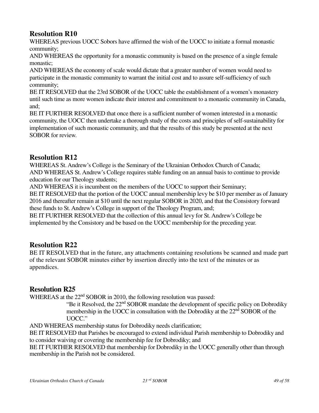WHEREAS previous UOCC Sobors have affirmed the wish of the UOCC to initiate a formal monastic community;

AND WHEREAS the opportunity for a monastic community is based on the presence of a single female monastic;

AND WHEREAS the economy of scale would dictate that a greater number of women would need to participate in the monastic community to warrant the initial cost and to assure self-sufficiency of such community;

BE IT RESOLVED that the 23rd SOBOR of the UOCC table the establishment of a women's monastery until such time as more women indicate their interest and commitment to a monastic community in Canada, and;

BE IT FURTHER RESOLVED that once there is a sufficient number of women interested in a monastic community, the UOCC then undertake a thorough study of the costs and principles of self-sustainability for implementation of such monastic community, and that the results of this study be presented at the next SOBOR for review.

### **Resolution R12**

WHEREAS St. Andrew's College is the Seminary of the Ukrainian Orthodox Church of Canada; AND WHEREAS St. Andrew's College requires stable funding on an annual basis to continue to provide education for our Theology students;

AND WHEREAS it is incumbent on the members of the UOCC to support their Seminary;

BE IT RESOLVED that the portion of the UOCC annual membership levy be \$10 per member as of January 2016 and thereafter remain at \$10 until the next regular SOBOR in 2020, and that the Consistory forward these funds to St. Andrew's College in support of the Theology Program, and;

BE IT FURTHER RESOLVED that the collection of this annual levy for St. Andrew's College be implemented by the Consistory and be based on the UOCC membership for the preceding year.

### **Resolution R22**

BE IT RESOLVED that in the future, any attachments containing resolutions be scanned and made part of the relevant SOBOR minutes either by insertion directly into the text of the minutes or as appendices.

### **Resolution R25**

WHEREAS at the 22<sup>nd</sup> SOBOR in 2010, the following resolution was passed:

"Be it Resolved, the 22<sup>nd</sup> SOBOR mandate the development of specific policy on Dobrodiky membership in the UOCC in consultation with the Dobrodiky at the 22<sup>nd</sup> SOBOR of the UOCC."

AND WHEREAS membership status for Dobrodiky needs clarification;

BE IT RESOLVED that Parishes be encouraged to extend individual Parish membership to Dobrodiky and to consider waiving or covering the membership fee for Dobrodiky; and

BE IT FURTHER RESOLVED that membership for Dobrodiky in the UOCC generally other than through membership in the Parish not be considered.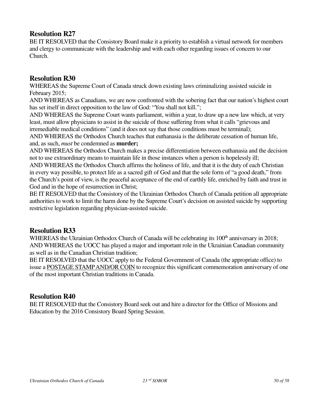BE IT RESOLVED that the Consistory Board make it a priority to establish a virtual network for members and clergy to communicate with the leadership and with each other regarding issues of concern to our Church.

### **Resolution R30**

WHEREAS the Supreme Court of Canada struck down existing laws criminalizing assisted suicide in February 2015;

AND WHEREAS as Canadians, we are now confronted with the sobering fact that our nation's highest court has set itself in direct opposition to the law of God: "You shall not kill.";

AND WHEREAS the Supreme Court wants parliament, within a year, to draw up a new law which, at very least, must allow physicians to assist in the suicide of those suffering from what it calls "grievous and irremediable medical conditions" (and it does not say that those conditions must be terminal);

AND WHEREAS the Orthodox Church teaches that euthanasia is the deliberate cessation of human life, and, as such, *must* be condemned as **murder;** 

AND WHEREAS the Orthodox Church makes a precise differentiation between euthanasia and the decision not to use extraordinary means to maintain life in those instances when a person is hopelessly ill;

AND WHEREAS the Orthodox Church affirms the holiness of life, and that it is the duty of each Christian in every way possible, to protect life as a sacred gift of God and that the sole form of "a good death," from the Church's point of view, is the peaceful acceptance of the end of earthly life, enriched by faith and trust in God and in the hope of resurrection in Christ;

BE IT RESOLVED that the Consistory of the Ukrainian Orthodox Church of Canada petition all appropriate authorities to work to limit the harm done by the Supreme Court's decision on assisted suicide by supporting restrictive legislation regarding physician-assisted suicide.

### **Resolution R33**

WHEREAS the Ukrainian Orthodox Church of Canada will be celebrating its 100<sup>th</sup> anniversary in 2018: AND WHEREAS the UOCC has played a major and important role in the Ukrainian Canadian community as well as in the Canadian Christian tradition;

BE IT RESOLVED that the UOCC apply to the Federal Government of Canada (the appropriate office) to issue a POSTAGE STAMP AND/OR COIN to recognize this significant commemoration anniversary of one of the most important Christian traditions in Canada.

### **Resolution R40**

BE IT RESOLVED that the Consistory Board seek out and hire a director for the Office of Missions and Education by the 2016 Consistory Board Spring Session.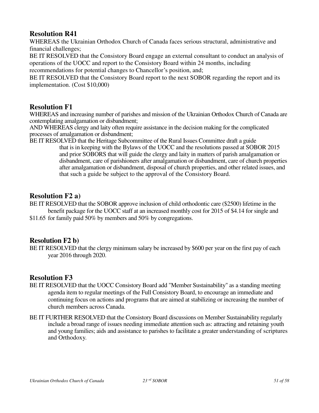WHEREAS the Ukrainian Orthodox Church of Canada faces serious structural, administrative and financial challenges;

BE IT RESOLVED that the Consistory Board engage an external consultant to conduct an analysis of operations of the UOCC and report to the Consistory Board within 24 months, including recommendations for potential changes to Chancellor's position, and;

BE IT RESOLVED that the Consistory Board report to the next SOBOR regarding the report and its implementation. (Cost \$10,000)

### **Resolution F1**

WHEREAS and increasing number of parishes and mission of the Ukrainian Orthodox Church of Canada are contemplating amalgamation or disbandment;

AND WHEREAS clergy and laity often require assistance in the decision making for the complicated processes of amalgamation or disbandment;

BE IT RESOLVED that the Heritage Subcommittee of the Rural Issues Committee draft a guide

that is in keeping with the Bylaws of the UOCC and the resolutions passed at SOBOR 2015 and prior SOBORS that will guide the clergy and laity in matters of parish amalgamation or disbandment, care of parishioners after amalgamation or disbandment, care of church properties after amalgamation or disbandment, disposal of church properties, and other related issues, and that such a guide be subject to the approval of the Consistory Board.

### **Resolution F2 a)**

BE IT RESOLVED that the SOBOR approve inclusion of child orthodontic care (\$2500) lifetime in the benefit package for the UOCC staff at an increased monthly cost for 2015 of \$4.14 for single and

\$11.65 for family paid 50% by members and 50% by congregations.

### **Resolution F2 b)**

BE IT RESOLVED that the clergy minimum salary be increased by \$600 per year on the first pay of each year 2016 through 2020.

### **Resolution F3**

- BE IT RESOLVED that the UOCC Consistory Board add "Member Sustainability" as a standing meeting agenda item to regular meetings of the Full Consistory Board, to encourage an immediate and continuing focus on actions and programs that are aimed at stabilizing or increasing the number of church members across Canada.
- BE IT FURTHER RESOLVED that the Consistory Board discussions on Member Sustainability regularly include a broad range of issues needing immediate attention such as: attracting and retaining youth and young families; aids and assistance to parishes to facilitate a greater understanding of scriptures and Orthodoxy.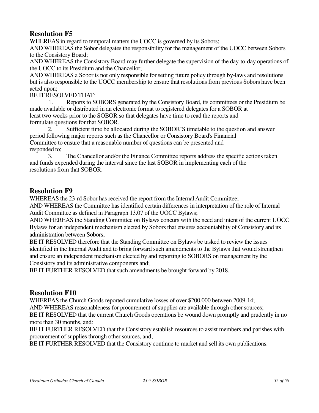WHEREAS in regard to temporal matters the UOCC is governed by its Sobors; AND WHEREAS the Sobor delegates the responsibility for the management of the UOCC between Sobors to the Consistory Board;

AND WHEREAS the Consistory Board may further delegate the supervision of the day-to-day operations of the UOCC to its Presidium and the Chancellor;

AND WHEREAS a Sobor is not only responsible for setting future policy through by-laws and resolutions but is also responsible to the UOCC membership to ensure that resolutions from previous Sobors have been acted upon;

#### BE IT RESOLVED THAT:

1. Reports to SOBORS generated by the Consistory Board, its committees or the Presidium be made available or distributed in an electronic format to registered delegates for a SOBOR at least two weeks prior to the SOBOR so that delegates have time to read the reports and formulate questions for that SOBOR.

 2. Sufficient time be allocated during the SOBOR'S timetable to the question and answer period following major reports such as the Chancellor or Consistory Board's Financial Committee to ensure that a reasonable number of questions can be presented and responded to;

 3. The Chancellor and/or the Finance Committee reports address the specific actions taken and funds expended during the interval since the last SOBOR in implementing each of the resolutions from that SOBOR.

### **Resolution F9**

WHEREAS the 23-rd Sobor has received the report from the Internal Audit Committee;

AND WHEREAS the Committee has identified certain differences in interpretation of the role of Internal Audit Committee as defined in Paragraph 13.07 of the UOCC Bylaws;

AND WHEREAS the Standing Committee on Bylaws concurs with the need and intent of the current UOCC Bylaws for an independent mechanism elected by Sobors that ensures accountability of Consistory and its administration between Sobors;

BE IT RESOLVED therefore that the Standing Committee on Bylaws be tasked to review the issues identified in the Internal Audit and to bring forward such amendments to the Bylaws that would strengthen and ensure an independent mechanism elected by and reporting to SOBORS on management by the Consistory and its administrative components and;

BE IT FURTHER RESOLVED that such amendments be brought forward by 2018.

### **Resolution F10**

WHEREAS the Church Goods reported cumulative losses of over \$200,000 between 2009-14;

AND WHEREAS reasonableness for procurement of supplies are available through other sources;

BE IT RESOLVED that the current Church Goods operations be wound down promptly and prudently in no more than 30 months, and:

BE IT FURTHER RESOLVED that the Consistory establish resources to assist members and parishes with procurement of supplies through other sources, and;

BE IT FURTHER RESOLVED that the Consistory continue to market and sell its own publications.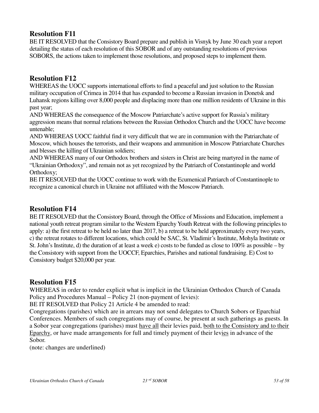BE IT RESOLVED that the Consistory Board prepare and publish in Visnyk by June 30 each year a report detailing the status of each resolution of this SOBOR and of any outstanding resolutions of previous SOBORS, the actions taken to implement those resolutions, and proposed steps to implement them.

### **Resolution F12**

WHEREAS the UOCC supports international efforts to find a peaceful and just solution to the Russian military occupation of Crimea in 2014 that has expanded to become a Russian invasion in Donetsk and Luhansk regions killing over 8,000 people and displacing more than one million residents of Ukraine in this past year;

AND WHEREAS the consequence of the Moscow Patriarchate's active support for Russia's military aggression means that normal relations between the Russian Orthodox Church and the UOCC have become untenable;

AND WHEREAS UOCC faithful find it very difficult that we are in communion with the Patriarchate of Moscow, which houses the terrorists, and their weapons and ammunition in Moscow Patriarchate Churches and blesses the killing of Ukrainian soldiers;

AND WHEREAS many of our Orthodox brothers and sisters in Christ are being martyred in the name of "Ukrainian Orthodoxy", and remain not as yet recognized by the Patriarch of Constantinople and world Orthodoxy;

BE IT RESOLVED that the UOCC continue to work with the Ecumenical Patriarch of Constantinople to recognize a canonical church in Ukraine not affiliated with the Moscow Patriarch.

### **Resolution F14**

BE IT RESOLVED that the Consistory Board, through the Office of Missions and Education, implement a national youth retreat program similar to the Western Eparchy Youth Retreat with the following principles to apply: a) the first retreat to be held no later than 2017, b) a retreat to be held approximately every two years, c) the retreat rotates to different locations, which could be SAC, St. Vladimir's Institute, Mohyla Institute or St. John's Institute, d) the duration of at least a week e) costs to be funded as close to 100% as possible – by the Consistory with support from the UOCCF, Eparchies, Parishes and national fundraising. E) Cost to Consistory budget \$20,000 per year.

### **Resolution F15**

WHEREAS in order to render explicit what is implicit in the Ukrainian Orthodox Church of Canada Policy and Procedures Manual – Policy 21 (non-payment of levies):

BE IT RESOLVED that Policy 21 Article 4 be amended to read:

Congregations (parishes) which are in arrears may not send delegates to Church Sobors or Eparchial Conferences. Members of such congregations may of course, be present at such gatherings as guests. In a Sobor year congregations (parishes) must have all their levies paid, both to the Consistory and to their Eparchy, or have made arrangements for full and timely payment of their levies in advance of the Sobor.

(note: changes are underlined)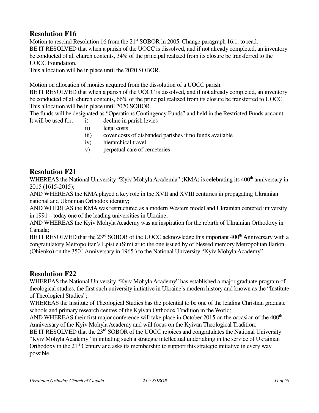Motion to rescind Resolution 16 from the 21<sup>st</sup> SOBOR in 2005. Change paragraph 16.1. to read: BE IT RESOLVED that when a parish of the UOCC is dissolved, and if not already completed, an inventory be conducted of all church contents, 34% of the principal realized from its closure be transferred to the UOCC Foundation.

This allocation will be in place until the 2020 SOBOR.

Motion on allocation of monies acquired from the dissolution of a UOCC parish.

BE IT RESOLVED that when a parish of the UOCC is dissolved, and if not already completed, an inventory be conducted of all church contents, 66% of the principal realized from its closure be transferred to UOCC. This allocation will be in place until 2020 SOBOR.

The funds will be designated as "Operations Contingency Funds" and held in the Restricted Funds account.

- It will be used for: i) decline in parish levies
	- ii) legal costs
	- iii) cover costs of disbanded parishes if no funds available
	- iv) hierarchical travel
	- v) perpetual care of cemeteries

### **Resolution F21**

WHEREAS the National University "Kyiv Mohyla Academia" (KMA) is celebrating its 400<sup>th</sup> anniversary in 2015 (1615-2015);

AND WHEREAS the KMA played a key role in the XVII and XVIII centuries in propagating Ukrainian national and Ukrainian Orthodox identity;

AND WHEREAS the KMA was restructured as a modern Western model and Ukrainian centered university in 1991 – today one of the leading universities in Ukraine;

AND WHEREAS the Kyiv Mohyla Academy was an inspiration for the rebirth of Ukrainian Orthodoxy in Canada;

BE IT RESOLVED that the 23<sup>rd</sup> SOBOR of the UOCC acknowledge this important 400<sup>th</sup> Anniversary with a congratulatory Metropolitan's Epistle (Similar to the one issued by of blessed memory Metropolitan Ilarion (Ohienko) on the 350<sup>th</sup> Anniversary in 1965.) to the National University "Kyiv Mohyla Academy".

### **Resolution F22**

WHEREAS the National University "Kyiv Mohyla Academy" has established a major graduate program of theological studies, the first such university initiative in Ukraine's modern history and known as the "Institute of Theological Studies";

WHEREAS the Institute of Theological Studies has the potential to be one of the leading Christian graduate schools and primary research centres of the Kyivan Orthodox Tradition in the World;

AND WHEREAS their first major conference will take place in October 2015 on the occasion of the 400<sup>th</sup> Anniversary of the Kyiv Mohyla Academy and will focus on the Kyivan Theological Tradition;

BE IT RESOLVED that the 23<sup>rd</sup> SOBOR of the UOCC rejoices and congratulates the National University "Kyiv Mohyla Academy" in initiating such a strategic intellectual undertaking in the service of Ukrainian Orthodoxy in the  $21<sup>st</sup>$  Century and asks its membership to support this strategic initiative in every way possible.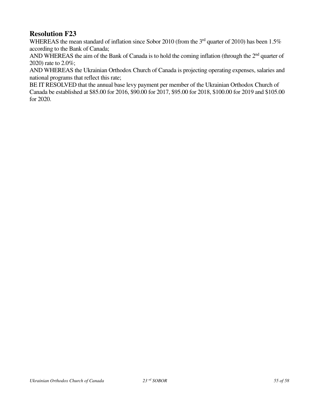WHEREAS the mean standard of inflation since Sobor 2010 (from the 3<sup>rd</sup> quarter of 2010) has been 1.5% according to the Bank of Canada;

AND WHEREAS the aim of the Bank of Canada is to hold the coming inflation (through the  $2<sup>nd</sup>$  quarter of 2020) rate to 2.0%;

AND WHEREAS the Ukrainian Orthodox Church of Canada is projecting operating expenses, salaries and national programs that reflect this rate;

BE IT RESOLVED that the annual base levy payment per member of the Ukrainian Orthodox Church of Canada be established at \$85.00 for 2016, \$90.00 for 2017, \$95.00 for 2018, \$100.00 for 2019 and \$105.00 for 2020.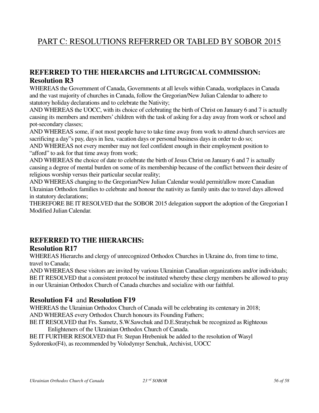# PART C: RESOLUTIONS REFERRED OR TABLED BY SOBOR 2015

# **REFERRED TO THE HIERARCHS and LITURGICAL COMMISSION: Resolution R3**

WHEREAS the Government of Canada, Governments at all levels within Canada, workplaces in Canada and the vast majority of churches in Canada, follow the Gregorian/New Julian Calendar to adhere to statutory holiday declarations and to celebrate the Nativity;

AND WHEREAS the UOCC, with its choice of celebrating the birth of Christ on January 6 and 7 is actually causing its members and members' children with the task of asking for a day away from work or school and pot-secondary classes;

AND WHEREAS some, if not most people have to take time away from work to attend church services are sacrificing a day"s pay, days in lieu, vacation days or personal business days in order to do so;

AND WHEREAS not every member may not feel confident enough in their employment position to "afford" to ask for that time away from work;

AND WHEREAS the choice of date to celebrate the birth of Jesus Christ on January 6 and 7 is actually causing a degree of mental burden on some of its membership because of the conflict between their desire of religious worship versus their particular secular reality;

AND WHEREAS changing to the Gregorian/New Julian Calendar would permit/allow more Canadian Ukrainian Orthodox families to celebrate and honour the nativity as family units due to travel days allowed in statutory declarations;

THEREFORE BE IT RESOLVED that the SOBOR 2015 delegation support the adoption of the Gregorian I Modified Julian Calendar.

# **REFERRED TO THE HIERARCHS:**

### **Resolution R17**

WHEREAS Hierarchs and clergy of unrecognized Orthodox Churches in Ukraine do, from time to time, travel to Canada;

AND WHEREAS these visitors are invited by various Ukrainian Canadian organizations and/or individuals; BE IT RESOLVED that a consistent protocol be instituted whereby these clergy members be allowed to pray in our Ukrainian Orthodox Church of Canada churches and socialize with our faithful.

### **Resolution F4** and **Resolution F19**

WHEREAS the Ukrainian Orthodox Church of Canada will be celebrating its centenary in 2018; AND WHEREAS every Orthodox Church honours its Founding Fathers;

BE IT RESOLVED that Frs. Sametz, S.W.Sawchuk and D.E.Stratychuk be recognized as Righteous Enlighteners of the Ukrainian Orthodox Church of Canada.

BE IT FURTHER RESOLVED that Fr. Stepan Hrebeniuk be added to the resolution of Wasyl Sydorenko(F4), as recommended by Volodymyr Senchuk, Archivist, UOCC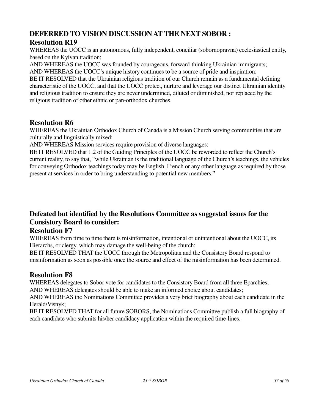# **DEFERRED TO VISION DISCUSSION AT THE NEXT SOBOR : Resolution R19**

WHEREAS the UOCC is an autonomous, fully independent, conciliar (sobornopravna) ecclesiastical entity, based on the Kyivan tradition;

AND WHEREAS the UOCC was founded by courageous, forward-thinking Ukrainian immigrants; AND WHEREAS the UOCC's unique history continues to be a source of pride and inspiration; BE IT RESOLVED that the Ukrainian religious tradition of our Church remain as a fundamental defining characteristic of the UOCC, and that the UOCC protect, nurture and leverage our distinct Ukrainian identity and religious tradition to ensure they are never undermined, diluted or diminished, nor replaced by the religious tradition of other ethnic or pan-orthodox churches.

### **Resolution R6**

WHEREAS the Ukrainian Orthodox Church of Canada is a Mission Church serving communities that are culturally and linguistically mixed;

AND WHEREAS Mission services require provision of diverse languages;

BE IT RESOLVED that 1.2 of the Guiding Principles of the UOCC be reworded to reflect the Church's current reality, to say that, "while Ukrainian is the traditional language of the Church's teachings, the vehicles for conveying Orthodox teachings today may be English, French or any other language as required by those present at services in order to bring understanding to potential new members."

# **Defeated but identified by the Resolutions Committee as suggested issues for the Consistory Board to consider:**

### **Resolution F7**

WHEREAS from time to time there is misinformation, intentional or unintentional about the UOCC, its Hierarchs, or clergy, which may damage the well-being of the church;

BE IT RESOLVED THAT the UOCC through the Metropolitan and the Consistory Board respond to misinformation as soon as possible once the source and effect of the misinformation has been determined.

### **Resolution F8**

WHEREAS delegates to Sobor vote for candidates to the Consistory Board from all three Eparchies; AND WHEREAS delegates should be able to make an informed choice about candidates;

AND WHEREAS the Nominations Committee provides a very brief biography about each candidate in the Herald/Visnyk;

BE IT RESOLVED THAT for all future SOBORS, the Nominations Committee publish a full biography of each candidate who submits his/her candidacy application within the required time-lines.